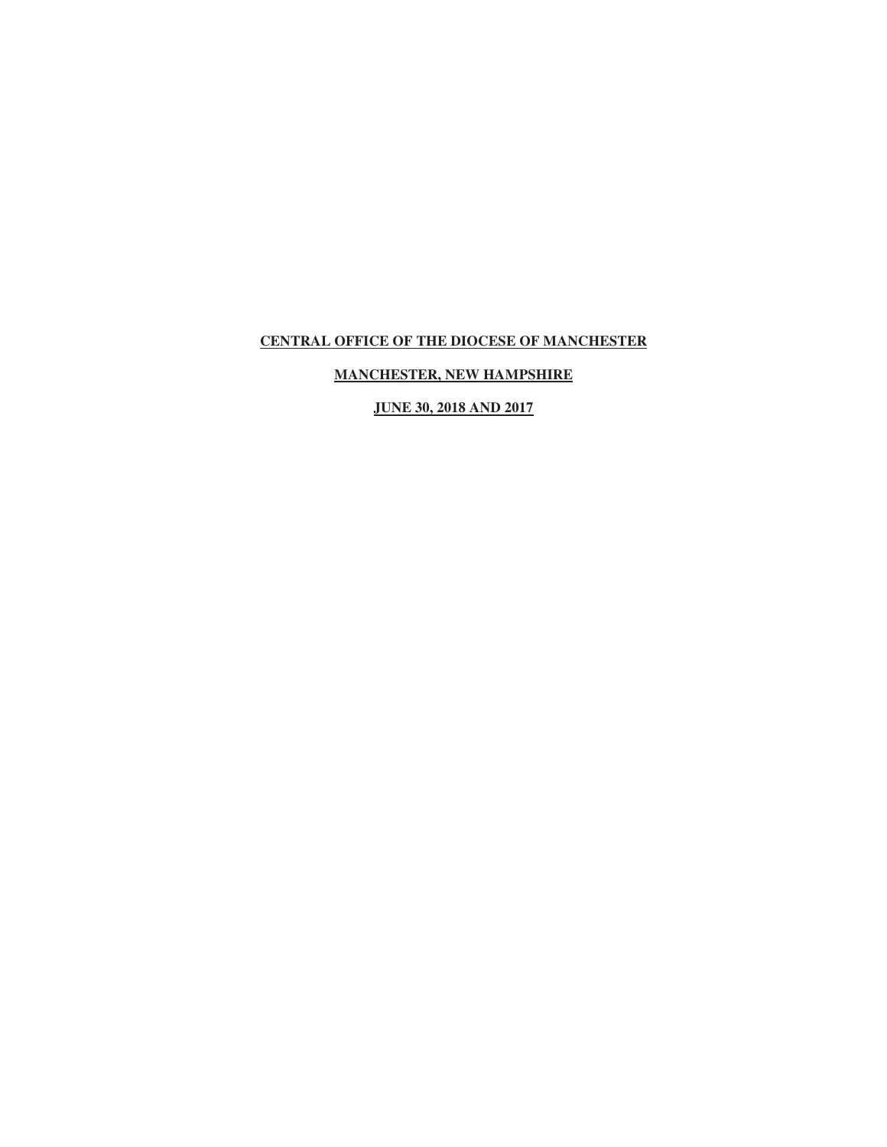# **MANCHESTER, NEW HAMPSHIRE**

**JUNE 30, 2018 AND 2017**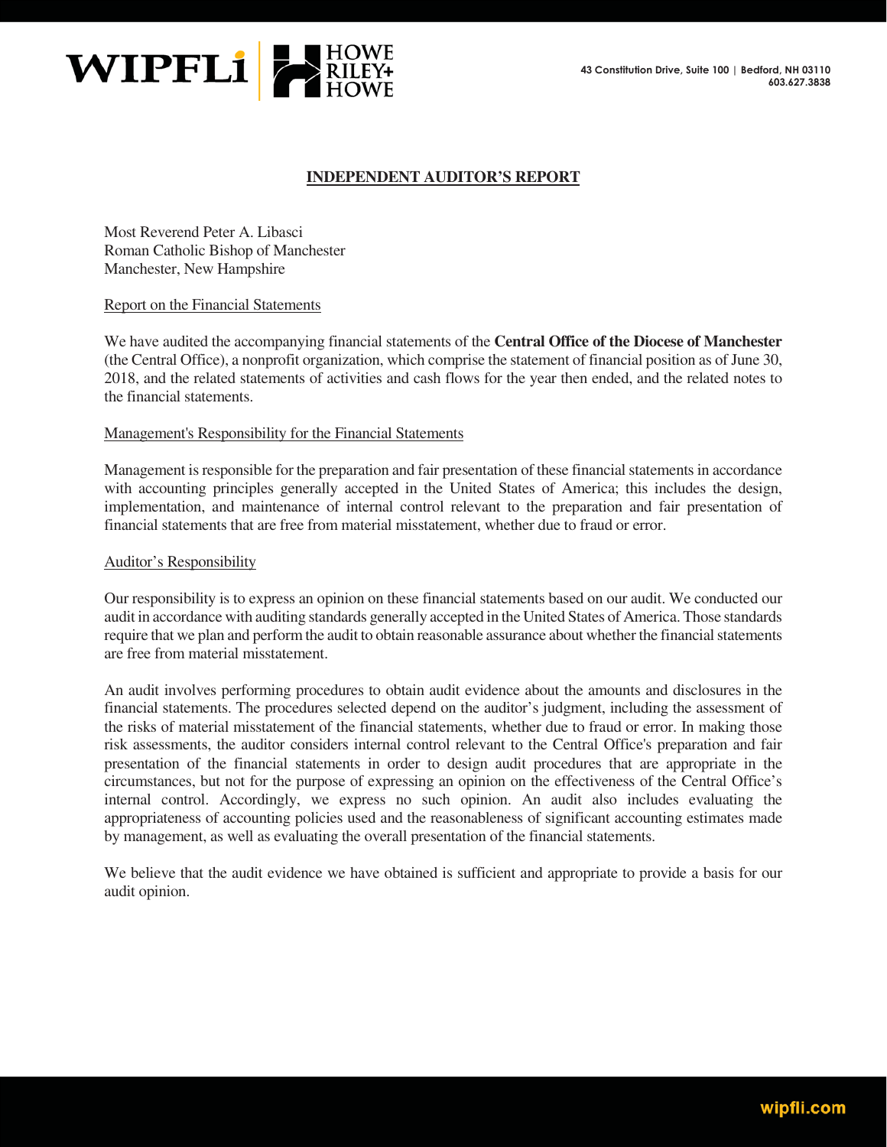

## **INDEPENDENT AUDITOR'S REPORT**

Most Reverend Peter A. Libasci Roman Catholic Bishop of Manchester Manchester, New Hampshire

#### Report on the Financial Statements

We have audited the accompanying financial statements of the **Central Office of the Diocese of Manchester** (the Central Office), a nonprofit organization, which comprise the statement of financial position as of June 30, 2018, and the related statements of activities and cash flows for the year then ended, and the related notes to the financial statements.

#### Management's Responsibility for the Financial Statements

Management is responsible for the preparation and fair presentation of these financial statements in accordance with accounting principles generally accepted in the United States of America; this includes the design, implementation, and maintenance of internal control relevant to the preparation and fair presentation of financial statements that are free from material misstatement, whether due to fraud or error.

#### Auditor's Responsibility

Our responsibility is to express an opinion on these financial statements based on our audit. We conducted our audit in accordance with auditing standards generally accepted in the United States of America. Those standards require that we plan and perform the audit to obtain reasonable assurance about whether the financial statements are free from material misstatement.

An audit involves performing procedures to obtain audit evidence about the amounts and disclosures in the financial statements. The procedures selected depend on the auditor's judgment, including the assessment of the risks of material misstatement of the financial statements, whether due to fraud or error. In making those risk assessments, the auditor considers internal control relevant to the Central Office's preparation and fair presentation of the financial statements in order to design audit procedures that are appropriate in the circumstances, but not for the purpose of expressing an opinion on the effectiveness of the Central Office's internal control. Accordingly, we express no such opinion. An audit also includes evaluating the appropriateness of accounting policies used and the reasonableness of significant accounting estimates made by management, as well as evaluating the overall presentation of the financial statements.

We believe that the audit evidence we have obtained is sufficient and appropriate to provide a basis for our audit opinion.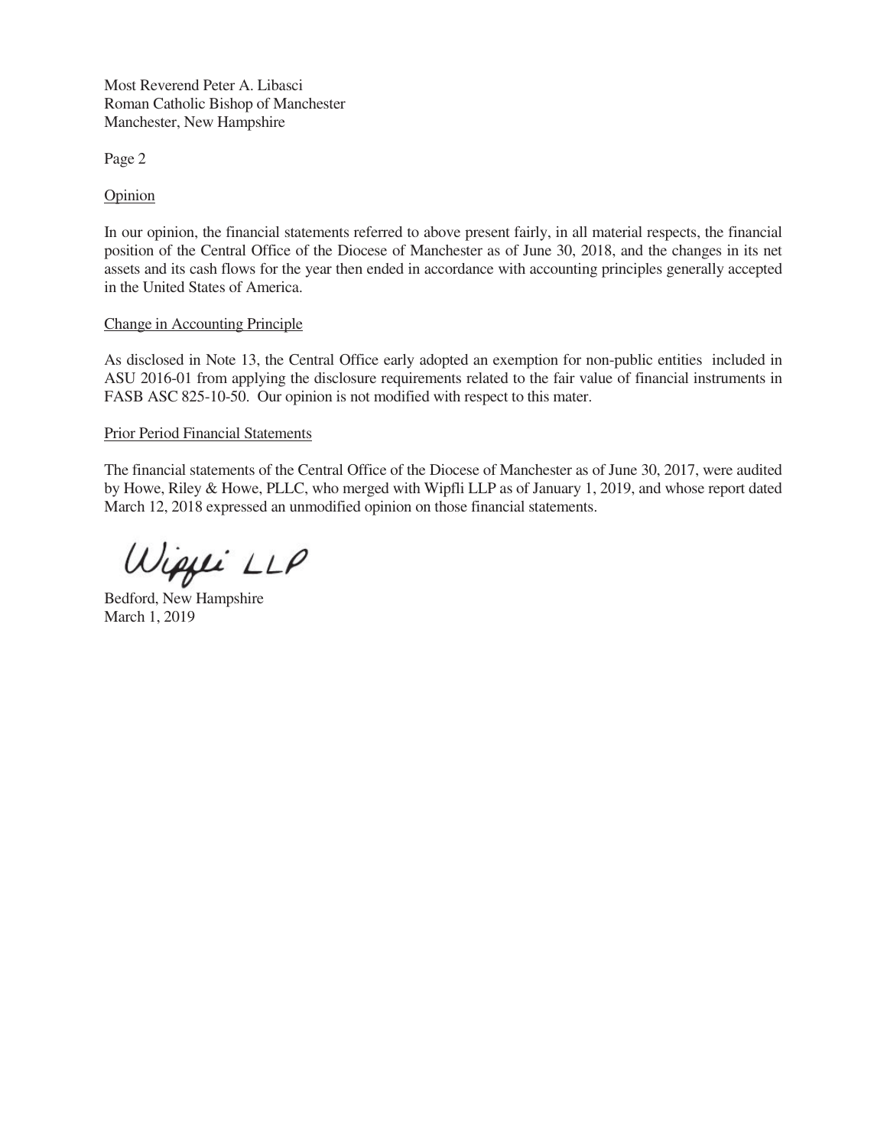Most Reverend Peter A. Libasci Roman Catholic Bishop of Manchester Manchester, New Hampshire

Page 2

Opinion

In our opinion, the financial statements referred to above present fairly, in all material respects, the financial position of the Central Office of the Diocese of Manchester as of June 30, 2018, and the changes in its net assets and its cash flows for the year then ended in accordance with accounting principles generally accepted in the United States of America.

#### Change in Accounting Principle

As disclosed in Note 13, the Central Office early adopted an exemption for non-public entities included in ASU 2016-01 from applying the disclosure requirements related to the fair value of financial instruments in FASB ASC 825-10-50. Our opinion is not modified with respect to this mater.

#### Prior Period Financial Statements

The financial statements of the Central Office of the Diocese of Manchester as of June 30, 2017, were audited by Howe, Riley & Howe, PLLC, who merged with Wipfli LLP as of January 1, 2019, and whose report dated March 12, 2018 expressed an unmodified opinion on those financial statements.

Wippi LLP

Bedford, New Hampshire March 1, 2019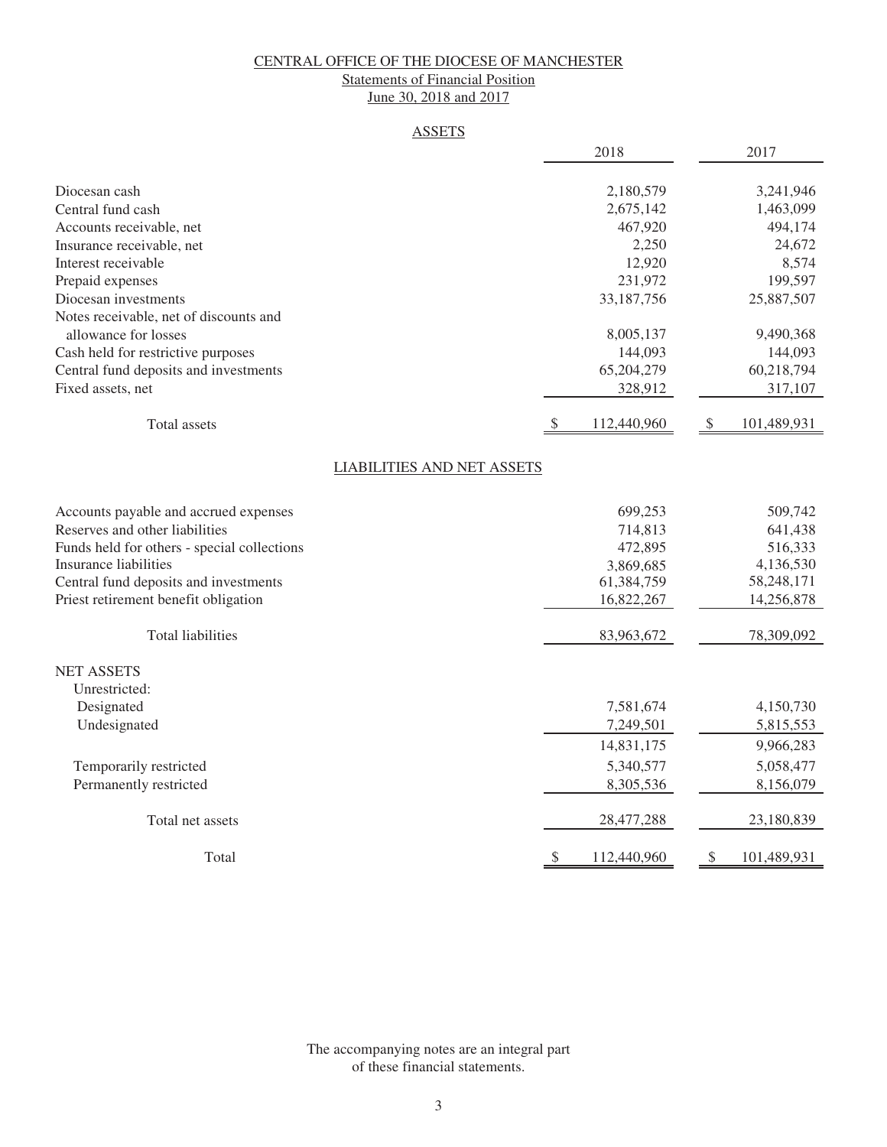#### Statements of Financial Position June 30, 2018 and 2017

# **ASSETS**

|                                                                      | , ,,,,,,,,                               |                              |
|----------------------------------------------------------------------|------------------------------------------|------------------------------|
|                                                                      | 2018                                     | 2017                         |
| Diocesan cash                                                        | 2,180,579                                | 3,241,946                    |
| Central fund cash                                                    | 2,675,142                                | 1,463,099                    |
| Accounts receivable, net                                             | 467,920                                  | 494,174                      |
| Insurance receivable, net                                            | 2,250                                    | 24,672                       |
| Interest receivable                                                  | 12,920                                   | 8,574                        |
| Prepaid expenses                                                     | 231,972                                  | 199,597                      |
| Diocesan investments                                                 | 33,187,756                               | 25,887,507                   |
| Notes receivable, net of discounts and                               |                                          |                              |
| allowance for losses                                                 | 8,005,137                                | 9,490,368                    |
| Cash held for restrictive purposes                                   | 144,093                                  | 144,093                      |
| Central fund deposits and investments                                | 65,204,279                               | 60,218,794                   |
| Fixed assets, net                                                    | 328,912                                  | 317,107                      |
| <b>Total assets</b>                                                  | 112,440,960                              | 101,489,931<br><sup>\$</sup> |
|                                                                      | <b>LIABILITIES AND NET ASSETS</b>        |                              |
|                                                                      |                                          |                              |
| Accounts payable and accrued expenses                                | 699,253                                  | 509,742                      |
| Reserves and other liabilities                                       | 714,813                                  | 641,438<br>516,333           |
| Funds held for others - special collections<br>Insurance liabilities | 472,895<br>3,869,685                     | 4,136,530                    |
| Central fund deposits and investments                                | 61,384,759                               | 58,248,171                   |
| Priest retirement benefit obligation                                 | 16,822,267                               | 14,256,878                   |
|                                                                      |                                          |                              |
| <b>Total liabilities</b>                                             | 83,963,672                               | 78,309,092                   |
| <b>NET ASSETS</b>                                                    |                                          |                              |
| Unrestricted:                                                        |                                          |                              |
| Designated                                                           | 7,581,674                                | 4,150,730                    |
| Undesignated                                                         | 7,249,501                                | 5,815,553                    |
|                                                                      | 14,831,175                               | 9,966,283                    |
| Temporarily restricted                                               | 5,340,577                                | 5,058,477                    |
| Permanently restricted                                               | 8,305,536                                | 8,156,079                    |
| Total net assets                                                     | 28,477,288                               | 23,180,839                   |
| Total                                                                | 112,440,960<br>$\boldsymbol{\mathsf{S}}$ | \$<br>101,489,931            |
|                                                                      |                                          |                              |

The accompanying notes are an integral part of these financial statements.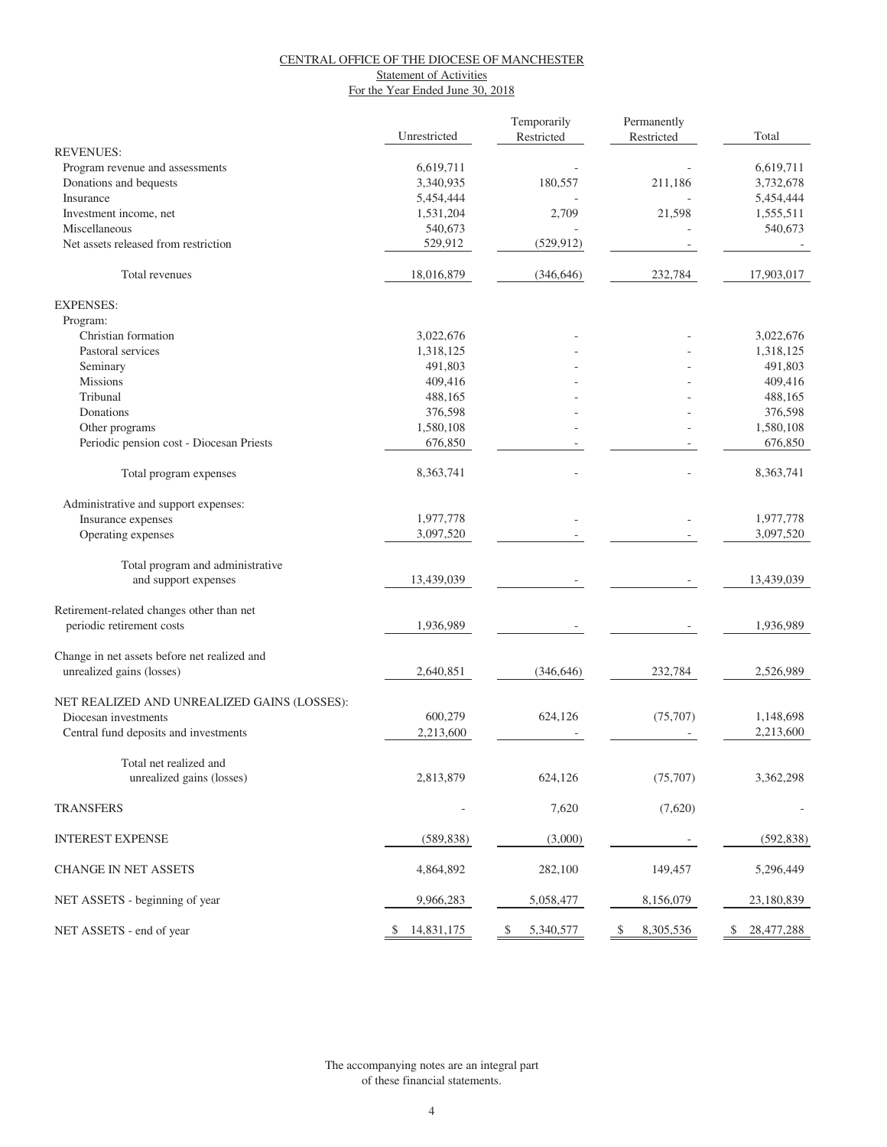## **Statement of Activities**

#### For the Year Ended June 30, 2018

|                                              | Unrestricted  | Temporarily<br>Restricted | Permanently<br>Restricted | Total            |
|----------------------------------------------|---------------|---------------------------|---------------------------|------------------|
| <b>REVENUES:</b>                             |               |                           |                           |                  |
| Program revenue and assessments              | 6,619,711     |                           |                           | 6,619,711        |
| Donations and bequests                       | 3,340,935     | 180,557                   | 211,186                   | 3,732,678        |
| Insurance                                    | 5,454,444     |                           |                           | 5,454,444        |
| Investment income, net                       | 1,531,204     | 2,709                     | 21,598                    | 1,555,511        |
| Miscellaneous                                | 540,673       |                           |                           | 540,673          |
| Net assets released from restriction         | 529,912       | (529, 912)                |                           |                  |
| Total revenues                               | 18,016,879    | (346, 646)                | 232,784                   | 17,903,017       |
| <b>EXPENSES:</b>                             |               |                           |                           |                  |
| Program:                                     |               |                           |                           |                  |
| Christian formation                          | 3,022,676     |                           |                           | 3,022,676        |
| Pastoral services                            | 1,318,125     |                           |                           | 1,318,125        |
| Seminary                                     | 491,803       |                           |                           | 491,803          |
| <b>Missions</b>                              | 409,416       |                           |                           | 409,416          |
| Tribunal                                     | 488,165       |                           |                           | 488,165          |
| Donations                                    | 376,598       |                           |                           | 376,598          |
| Other programs                               | 1,580,108     |                           |                           | 1,580,108        |
| Periodic pension cost - Diocesan Priests     | 676,850       |                           |                           | 676,850          |
| Total program expenses                       | 8,363,741     |                           |                           | 8,363,741        |
| Administrative and support expenses:         |               |                           |                           |                  |
| Insurance expenses                           | 1,977,778     |                           |                           | 1,977,778        |
| Operating expenses                           | 3,097,520     |                           |                           | 3,097,520        |
| Total program and administrative             |               |                           |                           |                  |
| and support expenses                         | 13,439,039    |                           |                           | 13,439,039       |
| Retirement-related changes other than net    |               |                           |                           |                  |
| periodic retirement costs                    | 1,936,989     |                           |                           | 1,936,989        |
| Change in net assets before net realized and |               |                           |                           |                  |
| unrealized gains (losses)                    | 2,640,851     | (346, 646)                | 232,784                   | 2,526,989        |
| NET REALIZED AND UNREALIZED GAINS (LOSSES):  |               |                           |                           |                  |
| Diocesan investments                         | 600,279       | 624,126                   | (75, 707)                 | 1,148,698        |
|                                              | 2,213,600     |                           |                           | 2,213,600        |
| Central fund deposits and investments        |               |                           |                           |                  |
| Total net realized and                       |               |                           |                           |                  |
| unrealized gains (losses)                    | 2,813,879     | 624,126                   | (75, 707)                 | 3,362,298        |
| <b>TRANSFERS</b>                             |               | 7,620                     | (7,620)                   |                  |
| <b>INTEREST EXPENSE</b>                      | (589, 838)    | (3,000)                   |                           | (592, 838)       |
| CHANGE IN NET ASSETS                         | 4,864,892     | 282,100                   | 149,457                   | 5,296,449        |
| NET ASSETS - beginning of year               | 9,966,283     | 5,058,477                 | 8,156,079                 | 23,180,839       |
| NET ASSETS - end of year                     | \$ 14,831,175 | \$<br>5,340,577           | $\mathbb{S}$<br>8,305,536 | 28,477,288<br>\$ |

of these financial statements. The accompanying notes are an integral part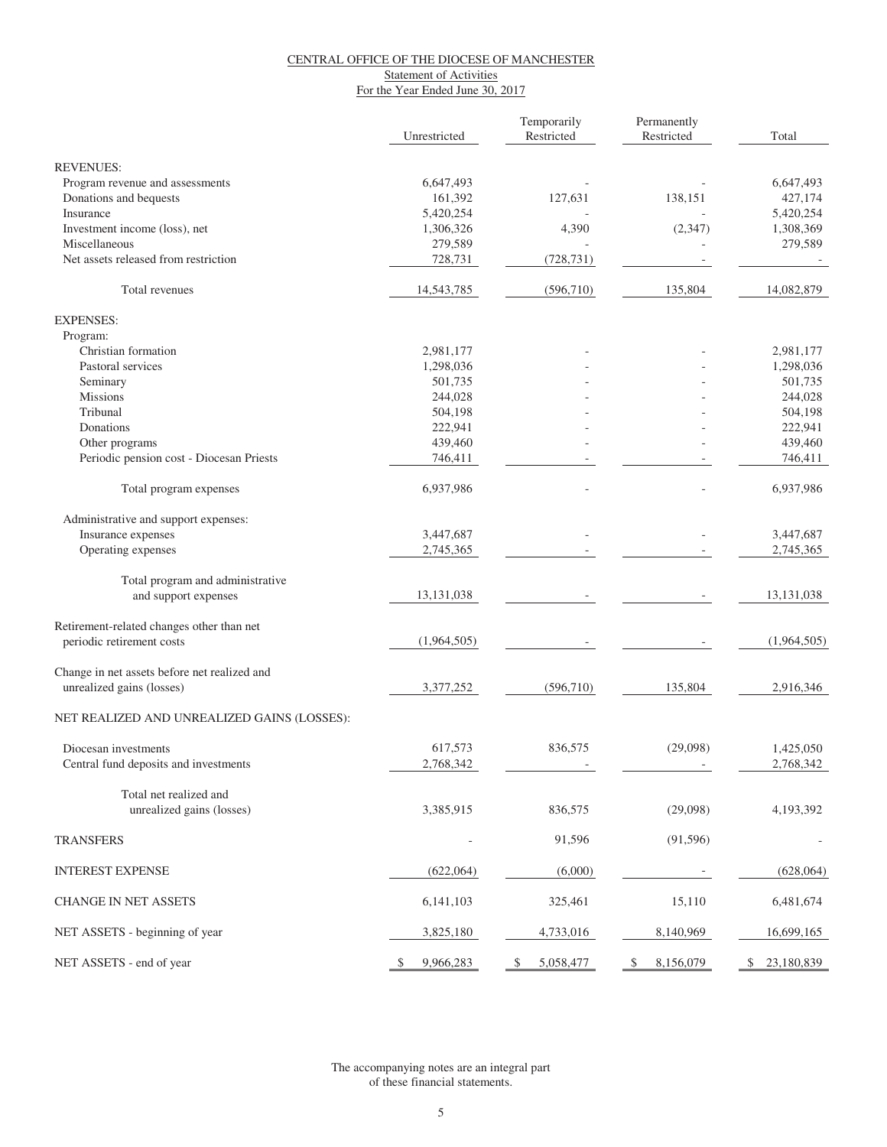**Statement of Activities** For the Year Ended June 30, 2017

|                                              | Unrestricted   | Temporarily<br>Restricted  | Permanently<br>Restricted | Total            |
|----------------------------------------------|----------------|----------------------------|---------------------------|------------------|
| <b>REVENUES:</b>                             |                |                            |                           |                  |
| Program revenue and assessments              | 6,647,493      |                            |                           | 6,647,493        |
| Donations and bequests                       | 161,392        | 127,631                    | 138,151                   | 427,174          |
| Insurance                                    | 5,420,254      |                            |                           | 5,420,254        |
| Investment income (loss), net                | 1,306,326      | 4,390                      | (2,347)                   | 1,308,369        |
| Miscellaneous                                | 279,589        |                            |                           | 279,589          |
| Net assets released from restriction         | 728,731        | (728, 731)                 |                           |                  |
| Total revenues                               | 14,543,785     | (596, 710)                 | 135,804                   | 14,082,879       |
| <b>EXPENSES:</b>                             |                |                            |                           |                  |
| Program:                                     |                |                            |                           |                  |
| Christian formation                          | 2,981,177      |                            |                           | 2,981,177        |
| Pastoral services                            | 1,298,036      |                            |                           | 1,298,036        |
| Seminary                                     | 501,735        |                            |                           | 501,735          |
| <b>Missions</b>                              | 244,028        |                            |                           | 244,028          |
| Tribunal                                     | 504,198        |                            |                           | 504,198          |
| Donations                                    | 222,941        |                            |                           | 222,941          |
| Other programs                               | 439,460        |                            |                           | 439,460          |
| Periodic pension cost - Diocesan Priests     | 746,411        |                            |                           | 746,411          |
| Total program expenses                       | 6,937,986      |                            |                           | 6,937,986        |
| Administrative and support expenses:         |                |                            |                           |                  |
| Insurance expenses                           | 3,447,687      |                            |                           | 3,447,687        |
| Operating expenses                           | 2,745,365      |                            |                           | 2,745,365        |
| Total program and administrative             |                |                            |                           |                  |
| and support expenses                         | 13,131,038     |                            |                           | 13,131,038       |
| Retirement-related changes other than net    |                |                            |                           |                  |
| periodic retirement costs                    | (1,964,505)    |                            |                           | (1,964,505)      |
| Change in net assets before net realized and |                |                            |                           |                  |
| unrealized gains (losses)                    | 3,377,252      | (596,710)                  | 135,804                   | 2,916,346        |
| NET REALIZED AND UNREALIZED GAINS (LOSSES):  |                |                            |                           |                  |
| Diocesan investments                         | 617,573        | 836,575                    | (29,098)                  | 1,425,050        |
| Central fund deposits and investments        | 2,768,342      |                            |                           | 2,768,342        |
| Total net realized and                       |                |                            |                           |                  |
| unrealized gains (losses)                    | 3,385,915      | 836,575                    | (29,098)                  | 4,193,392        |
| <b>TRANSFERS</b>                             |                | 91,596                     | (91, 596)                 |                  |
| <b>INTEREST EXPENSE</b>                      | (622,064)      | (6,000)                    |                           | (628,064)        |
| CHANGE IN NET ASSETS                         | 6,141,103      | 325,461                    | 15,110                    | 6,481,674        |
| NET ASSETS - beginning of year               | 3,825,180      | 4,733,016                  | 8,140,969                 | 16,699,165       |
| NET ASSETS - end of year                     | 9,966,283<br>S | 5,058,477<br><sup>\$</sup> | 8,156,079<br>$\mathbb{S}$ | 23,180,839<br>\$ |

of these financial statements. The accompanying notes are an integral part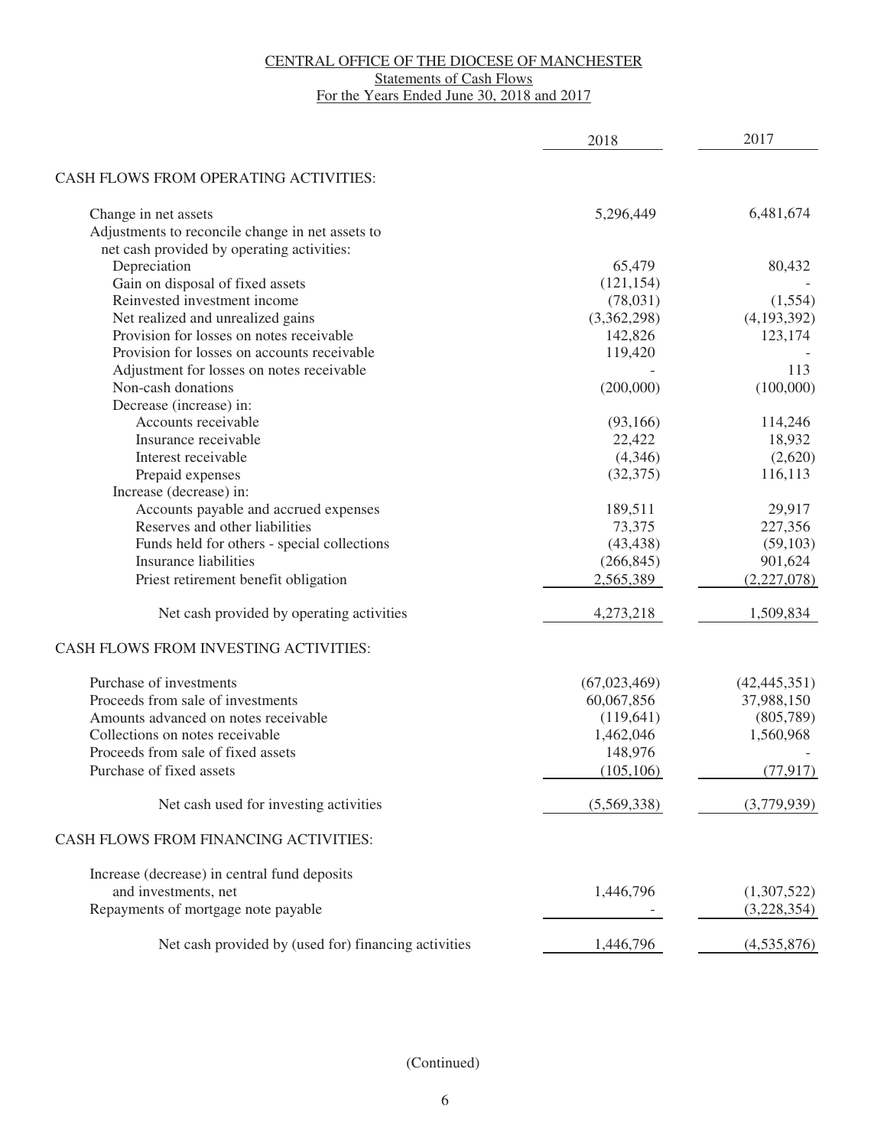## Statements of Cash Flows For the Years Ended June 30, 2018 and 2017

|                                                      | 2018         | 2017           |
|------------------------------------------------------|--------------|----------------|
| CASH FLOWS FROM OPERATING ACTIVITIES:                |              |                |
| Change in net assets                                 | 5,296,449    | 6,481,674      |
| Adjustments to reconcile change in net assets to     |              |                |
| net cash provided by operating activities:           |              |                |
| Depreciation                                         | 65,479       | 80,432         |
| Gain on disposal of fixed assets                     | (121, 154)   |                |
| Reinvested investment income                         | (78,031)     | (1,554)        |
| Net realized and unrealized gains                    | (3,362,298)  | (4,193,392)    |
| Provision for losses on notes receivable             | 142,826      | 123,174        |
| Provision for losses on accounts receivable          | 119,420      |                |
| Adjustment for losses on notes receivable            |              | 113            |
| Non-cash donations                                   | (200,000)    | (100,000)      |
| Decrease (increase) in:                              |              |                |
| Accounts receivable                                  | (93, 166)    | 114,246        |
| Insurance receivable                                 | 22,422       | 18,932         |
| Interest receivable                                  | (4,346)      | (2,620)        |
| Prepaid expenses                                     | (32, 375)    | 116,113        |
| Increase (decrease) in:                              |              |                |
| Accounts payable and accrued expenses                | 189,511      | 29,917         |
| Reserves and other liabilities                       | 73,375       | 227,356        |
| Funds held for others - special collections          | (43, 438)    | (59, 103)      |
| Insurance liabilities                                | (266, 845)   | 901,624        |
| Priest retirement benefit obligation                 | 2,565,389    | (2,227,078)    |
| Net cash provided by operating activities            | 4,273,218    | 1,509,834      |
| CASH FLOWS FROM INVESTING ACTIVITIES:                |              |                |
| Purchase of investments                              | (67,023,469) | (42, 445, 351) |
| Proceeds from sale of investments                    | 60,067,856   | 37,988,150     |
| Amounts advanced on notes receivable                 | (119, 641)   | (805, 789)     |
| Collections on notes receivable                      | 1,462,046    | 1,560,968      |
| Proceeds from sale of fixed assets                   | 148,976      |                |
| Purchase of fixed assets                             | (105, 106)   | (77, 917)      |
| Net cash used for investing activities               | (5,569,338)  | (3,779,939)    |
| CASH FLOWS FROM FINANCING ACTIVITIES:                |              |                |
| Increase (decrease) in central fund deposits         |              |                |
| and investments, net                                 | 1,446,796    | (1,307,522)    |
| Repayments of mortgage note payable                  |              | (3,228,354)    |
| Net cash provided by (used for) financing activities | 1,446,796    | (4, 535, 876)  |

(Continued)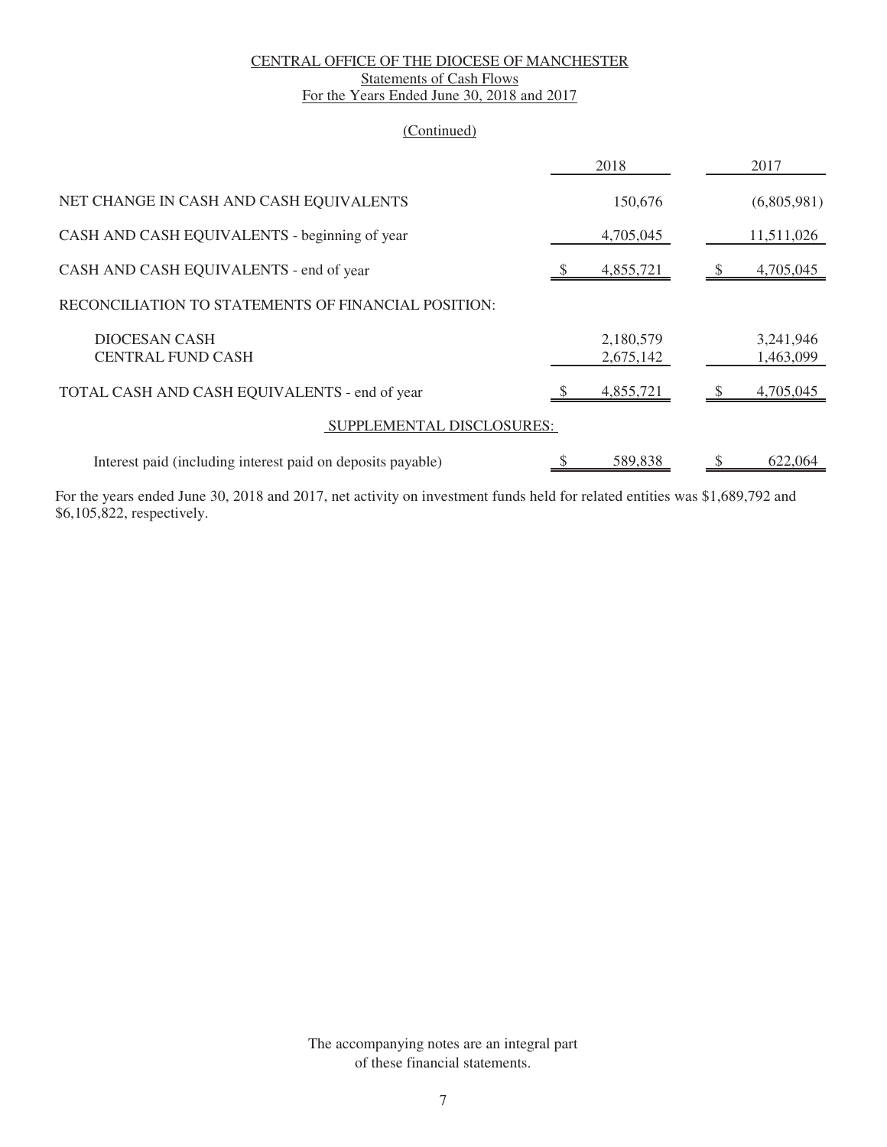#### CENTRAL OFFICE OF THE DIOCESE OF MANCHESTER Statements of Cash Flows For the Years Ended June 30, 2018 and 2017

#### (Continued)

|                                                             | 2018                   |  | 2017                   |
|-------------------------------------------------------------|------------------------|--|------------------------|
| NET CHANGE IN CASH AND CASH EQUIVALENTS                     | 150,676                |  | (6,805,981)            |
| CASH AND CASH EQUIVALENTS - beginning of year               | 4,705,045              |  | 11,511,026             |
| CASH AND CASH EQUIVALENTS - end of year                     | 4,855,721              |  | 4,705,045              |
| RECONCILIATION TO STATEMENTS OF FINANCIAL POSITION:         |                        |  |                        |
| DIOCESAN CASH<br><b>CENTRAL FUND CASH</b>                   | 2,180,579<br>2,675,142 |  | 3,241,946<br>1,463,099 |
| TOTAL CASH AND CASH EQUIVALENTS - end of year               | 4,855,721              |  | 4,705,045              |
| SUPPLEMENTAL DISCLOSURES:                                   |                        |  |                        |
| Interest paid (including interest paid on deposits payable) | 589,838                |  | 622,064                |

For the years ended June 30, 2018 and 2017, net activity on investment funds held for related entities was \$1,689,792 and \$6,105,822, respectively.

> The accompanying notes are an integral part of these financial statements.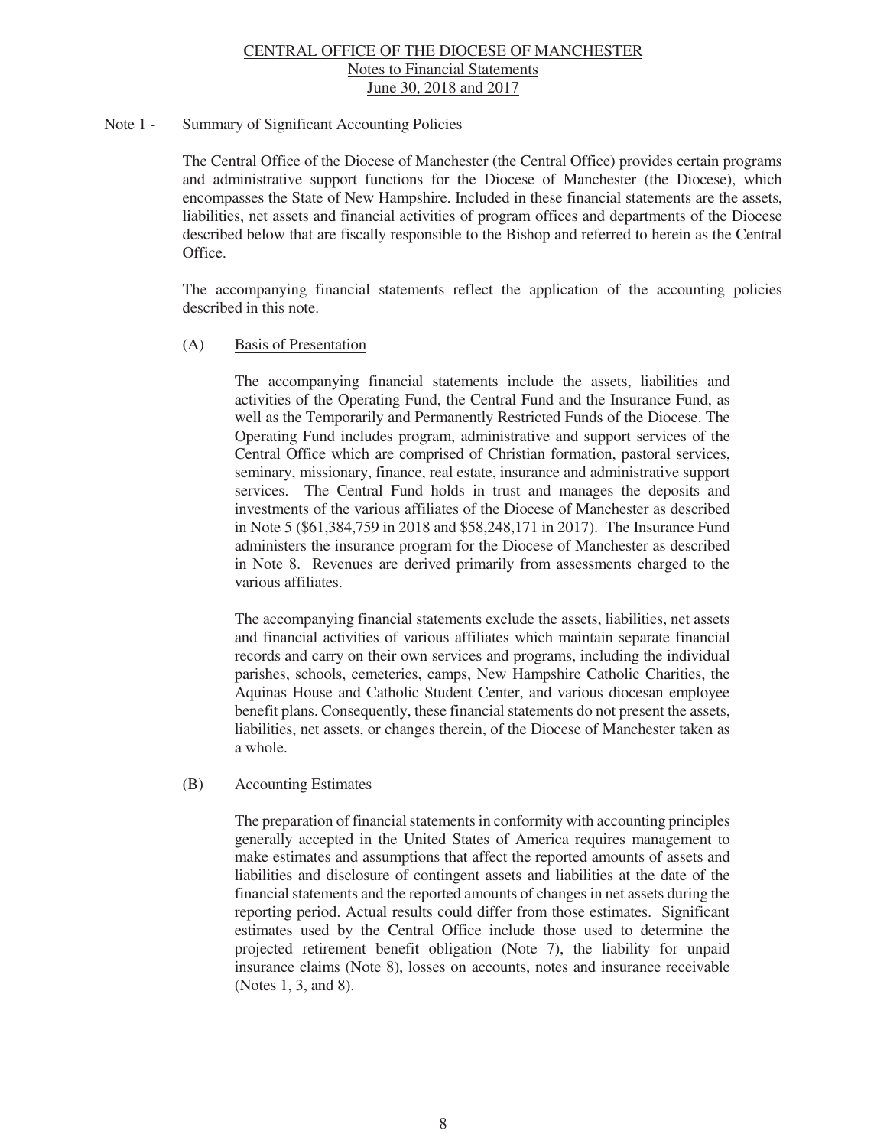#### Note 1 - Summary of Significant Accounting Policies

 The Central Office of the Diocese of Manchester (the Central Office) provides certain programs and administrative support functions for the Diocese of Manchester (the Diocese), which encompasses the State of New Hampshire. Included in these financial statements are the assets, liabilities, net assets and financial activities of program offices and departments of the Diocese described below that are fiscally responsible to the Bishop and referred to herein as the Central Office.

 The accompanying financial statements reflect the application of the accounting policies described in this note.

#### (A) Basis of Presentation

 The accompanying financial statements include the assets, liabilities and activities of the Operating Fund, the Central Fund and the Insurance Fund, as well as the Temporarily and Permanently Restricted Funds of the Diocese. The Operating Fund includes program, administrative and support services of the Central Office which are comprised of Christian formation, pastoral services, seminary, missionary, finance, real estate, insurance and administrative support services. The Central Fund holds in trust and manages the deposits and investments of the various affiliates of the Diocese of Manchester as described in Note 5 (\$61,384,759 in 2018 and \$58,248,171 in 2017). The Insurance Fund administers the insurance program for the Diocese of Manchester as described in Note 8. Revenues are derived primarily from assessments charged to the various affiliates.

 The accompanying financial statements exclude the assets, liabilities, net assets and financial activities of various affiliates which maintain separate financial records and carry on their own services and programs, including the individual parishes, schools, cemeteries, camps, New Hampshire Catholic Charities, the Aquinas House and Catholic Student Center, and various diocesan employee benefit plans. Consequently, these financial statements do not present the assets, liabilities, net assets, or changes therein, of the Diocese of Manchester taken as a whole.

## (B) Accounting Estimates

 The preparation of financial statements in conformity with accounting principles generally accepted in the United States of America requires management to make estimates and assumptions that affect the reported amounts of assets and liabilities and disclosure of contingent assets and liabilities at the date of the financial statements and the reported amounts of changes in net assets during the reporting period. Actual results could differ from those estimates. Significant estimates used by the Central Office include those used to determine the projected retirement benefit obligation (Note 7), the liability for unpaid insurance claims (Note 8), losses on accounts, notes and insurance receivable (Notes 1, 3, and 8).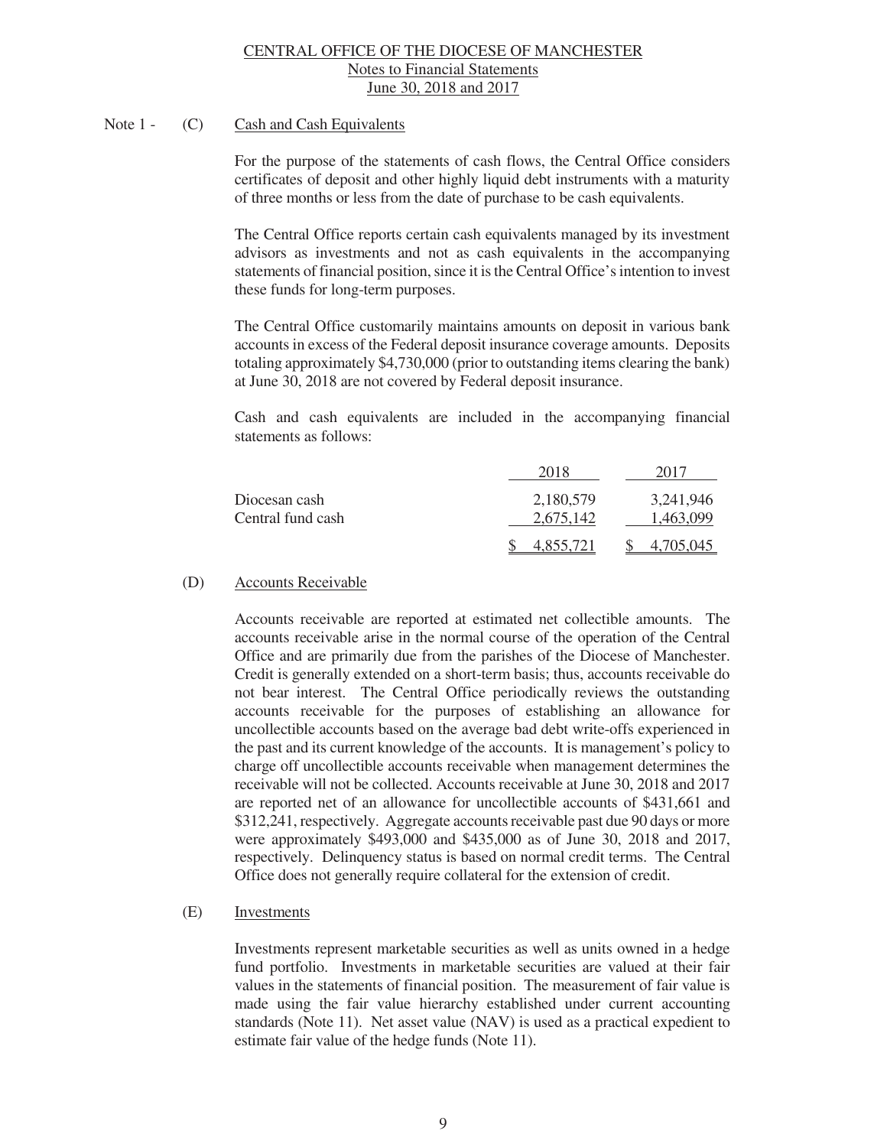## Note 1 - (C) Cash and Cash Equivalents

For the purpose of the statements of cash flows, the Central Office considers certificates of deposit and other highly liquid debt instruments with a maturity of three months or less from the date of purchase to be cash equivalents.

The Central Office reports certain cash equivalents managed by its investment advisors as investments and not as cash equivalents in the accompanying statements of financial position, since it is the Central Office's intention to invest these funds for long-term purposes.

The Central Office customarily maintains amounts on deposit in various bank accounts in excess of the Federal deposit insurance coverage amounts. Deposits totaling approximately \$4,730,000 (prior to outstanding items clearing the bank) at June 30, 2018 are not covered by Federal deposit insurance.

Cash and cash equivalents are included in the accompanying financial statements as follows:

|                   | 2018      | 2017      |
|-------------------|-----------|-----------|
| Diocesan cash     | 2,180,579 | 3,241,946 |
| Central fund cash | 2,675,142 | 1,463,099 |
|                   | 4.855.721 | 4.705.045 |

## (D) Accounts Receivable

Accounts receivable are reported at estimated net collectible amounts. The accounts receivable arise in the normal course of the operation of the Central Office and are primarily due from the parishes of the Diocese of Manchester. Credit is generally extended on a short-term basis; thus, accounts receivable do not bear interest. The Central Office periodically reviews the outstanding accounts receivable for the purposes of establishing an allowance for uncollectible accounts based on the average bad debt write-offs experienced in the past and its current knowledge of the accounts. It is management's policy to charge off uncollectible accounts receivable when management determines the receivable will not be collected. Accounts receivable at June 30, 2018 and 2017 are reported net of an allowance for uncollectible accounts of \$431,661 and \$312,241, respectively. Aggregate accounts receivable past due 90 days or more were approximately \$493,000 and \$435,000 as of June 30, 2018 and 2017, respectively. Delinquency status is based on normal credit terms. The Central Office does not generally require collateral for the extension of credit.

## (E) Investments

Investments represent marketable securities as well as units owned in a hedge fund portfolio. Investments in marketable securities are valued at their fair values in the statements of financial position. The measurement of fair value is made using the fair value hierarchy established under current accounting standards (Note 11). Net asset value (NAV) is used as a practical expedient to estimate fair value of the hedge funds (Note 11).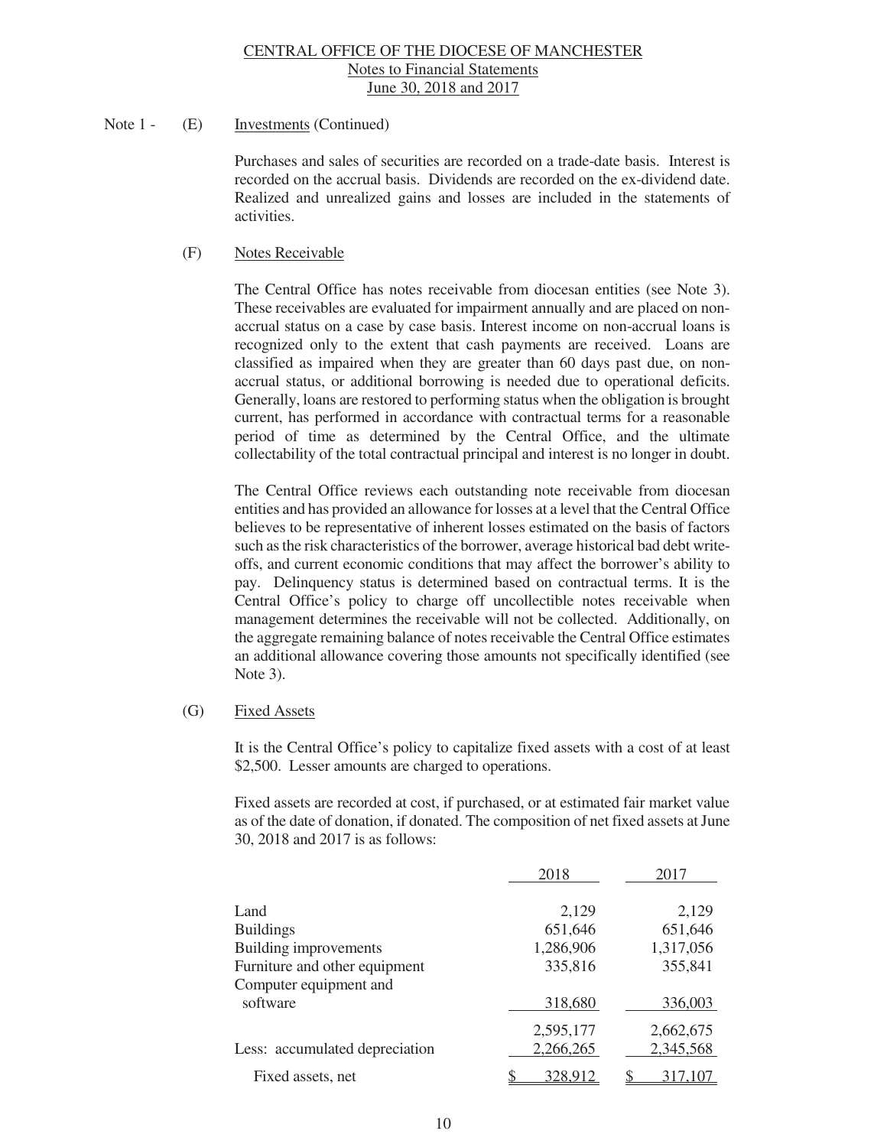## Note 1 - (E) Investments (Continued)

Purchases and sales of securities are recorded on a trade-date basis. Interest is recorded on the accrual basis. Dividends are recorded on the ex-dividend date. Realized and unrealized gains and losses are included in the statements of activities.

## (F) Notes Receivable

The Central Office has notes receivable from diocesan entities (see Note 3). These receivables are evaluated for impairment annually and are placed on nonaccrual status on a case by case basis. Interest income on non-accrual loans is recognized only to the extent that cash payments are received. Loans are classified as impaired when they are greater than 60 days past due, on nonaccrual status, or additional borrowing is needed due to operational deficits. Generally, loans are restored to performing status when the obligation is brought current, has performed in accordance with contractual terms for a reasonable period of time as determined by the Central Office, and the ultimate collectability of the total contractual principal and interest is no longer in doubt.

The Central Office reviews each outstanding note receivable from diocesan entities and has provided an allowance for losses at a level that the Central Office believes to be representative of inherent losses estimated on the basis of factors such as the risk characteristics of the borrower, average historical bad debt writeoffs, and current economic conditions that may affect the borrower's ability to pay. Delinquency status is determined based on contractual terms. It is the Central Office's policy to charge off uncollectible notes receivable when management determines the receivable will not be collected. Additionally, on the aggregate remaining balance of notes receivable the Central Office estimates an additional allowance covering those amounts not specifically identified (see Note 3).

#### (G) Fixed Assets

 It is the Central Office's policy to capitalize fixed assets with a cost of at least \$2,500. Lesser amounts are charged to operations.

 Fixed assets are recorded at cost, if purchased, or at estimated fair market value as of the date of donation, if donated. The composition of net fixed assets at June 30, 2018 and 2017 is as follows:

|                                | 2018      | 2017      |
|--------------------------------|-----------|-----------|
| Land                           | 2,129     | 2,129     |
| <b>Buildings</b>               | 651,646   | 651,646   |
| Building improvements          | 1,286,906 | 1,317,056 |
| Furniture and other equipment  | 335,816   | 355,841   |
| Computer equipment and         |           |           |
| software                       | 318,680   | 336,003   |
|                                | 2,595,177 | 2,662,675 |
| Less: accumulated depreciation | 2,266,265 | 2,345,568 |
| Fixed assets, net              | 328,912   | 317,107   |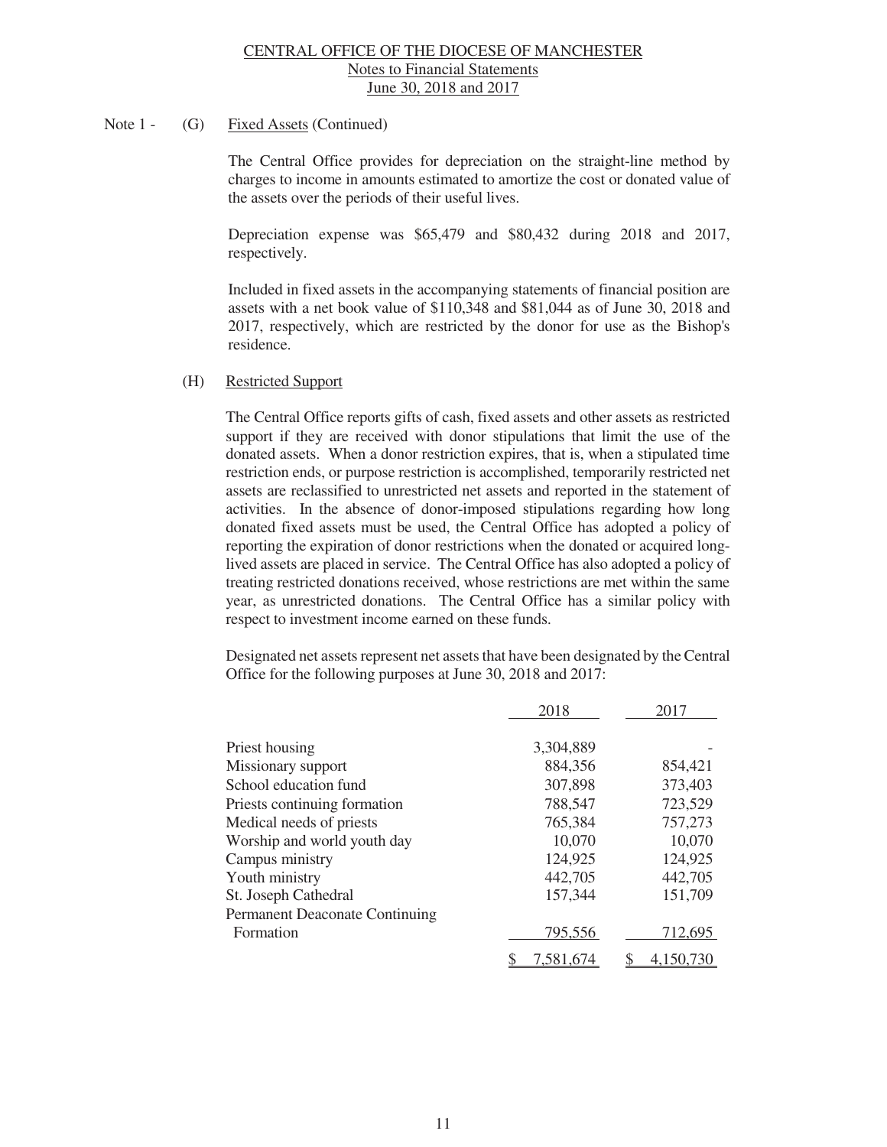## Note 1 - (G) Fixed Assets (Continued)

 The Central Office provides for depreciation on the straight-line method by charges to income in amounts estimated to amortize the cost or donated value of the assets over the periods of their useful lives.

 Depreciation expense was \$65,479 and \$80,432 during 2018 and 2017, respectively.

 Included in fixed assets in the accompanying statements of financial position are assets with a net book value of \$110,348 and \$81,044 as of June 30, 2018 and 2017, respectively, which are restricted by the donor for use as the Bishop's residence.

#### (H) Restricted Support

 The Central Office reports gifts of cash, fixed assets and other assets as restricted support if they are received with donor stipulations that limit the use of the donated assets. When a donor restriction expires, that is, when a stipulated time restriction ends, or purpose restriction is accomplished, temporarily restricted net assets are reclassified to unrestricted net assets and reported in the statement of activities. In the absence of donor-imposed stipulations regarding how long donated fixed assets must be used, the Central Office has adopted a policy of reporting the expiration of donor restrictions when the donated or acquired longlived assets are placed in service. The Central Office has also adopted a policy of treating restricted donations received, whose restrictions are met within the same year, as unrestricted donations. The Central Office has a similar policy with respect to investment income earned on these funds.

 Designated net assets represent net assets that have been designated by the Central Office for the following purposes at June 30, 2018 and 2017:

|                                       | 2018      | 2017      |
|---------------------------------------|-----------|-----------|
| Priest housing                        | 3,304,889 |           |
| Missionary support                    | 884,356   | 854,421   |
| School education fund                 | 307,898   | 373,403   |
| Priests continuing formation          | 788,547   | 723,529   |
| Medical needs of priests              | 765,384   | 757,273   |
| Worship and world youth day           | 10,070    | 10,070    |
| Campus ministry                       | 124,925   | 124,925   |
| Youth ministry                        | 442,705   | 442,705   |
| St. Joseph Cathedral                  | 157,344   | 151,709   |
| <b>Permanent Deaconate Continuing</b> |           |           |
| Formation                             | 795,556   | 712,695   |
|                                       | 7.581.674 | 4.150.730 |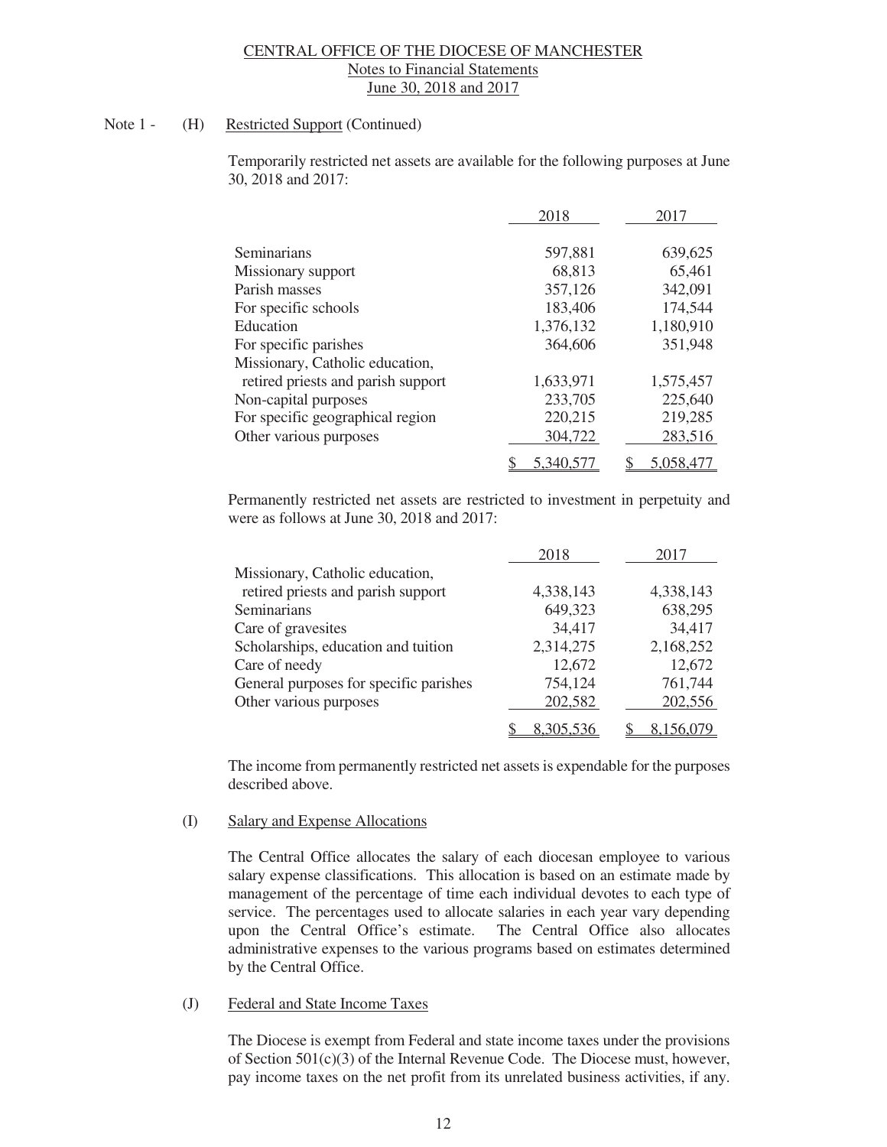## Note 1 - (H) Restricted Support (Continued)

Temporarily restricted net assets are available for the following purposes at June 30, 2018 and 2017:

|                                    | 2018      | 2017      |
|------------------------------------|-----------|-----------|
| Seminarians                        | 597,881   | 639,625   |
| Missionary support                 | 68,813    | 65,461    |
| Parish masses                      | 357,126   | 342,091   |
| For specific schools               | 183,406   | 174,544   |
| Education                          | 1,376,132 | 1,180,910 |
| For specific parishes              | 364,606   | 351,948   |
| Missionary, Catholic education,    |           |           |
| retired priests and parish support | 1,633,971 | 1,575,457 |
| Non-capital purposes               | 233,705   | 225,640   |
| For specific geographical region   | 220,215   | 219,285   |
| Other various purposes             | 304,722   | 283,516   |
|                                    | 5,340,57  | 5,058,477 |

Permanently restricted net assets are restricted to investment in perpetuity and were as follows at June 30, 2018 and 2017:

|                                        | 2018      | 2017      |
|----------------------------------------|-----------|-----------|
| Missionary, Catholic education,        |           |           |
| retired priests and parish support     | 4,338,143 | 4,338,143 |
| Seminarians                            | 649,323   | 638,295   |
| Care of gravesites                     | 34,417    | 34,417    |
| Scholarships, education and tuition    | 2,314,275 | 2,168,252 |
| Care of needy                          | 12,672    | 12,672    |
| General purposes for specific parishes | 754,124   | 761,744   |
| Other various purposes                 | 202,582   | 202,556   |
|                                        | 8,305,536 |           |

The income from permanently restricted net assets is expendable for the purposes described above.

## (I) Salary and Expense Allocations

The Central Office allocates the salary of each diocesan employee to various salary expense classifications. This allocation is based on an estimate made by management of the percentage of time each individual devotes to each type of service. The percentages used to allocate salaries in each year vary depending upon the Central Office's estimate. The Central Office also allocates administrative expenses to the various programs based on estimates determined by the Central Office.

## (J) Federal and State Income Taxes

The Diocese is exempt from Federal and state income taxes under the provisions of Section 501(c)(3) of the Internal Revenue Code. The Diocese must, however, pay income taxes on the net profit from its unrelated business activities, if any.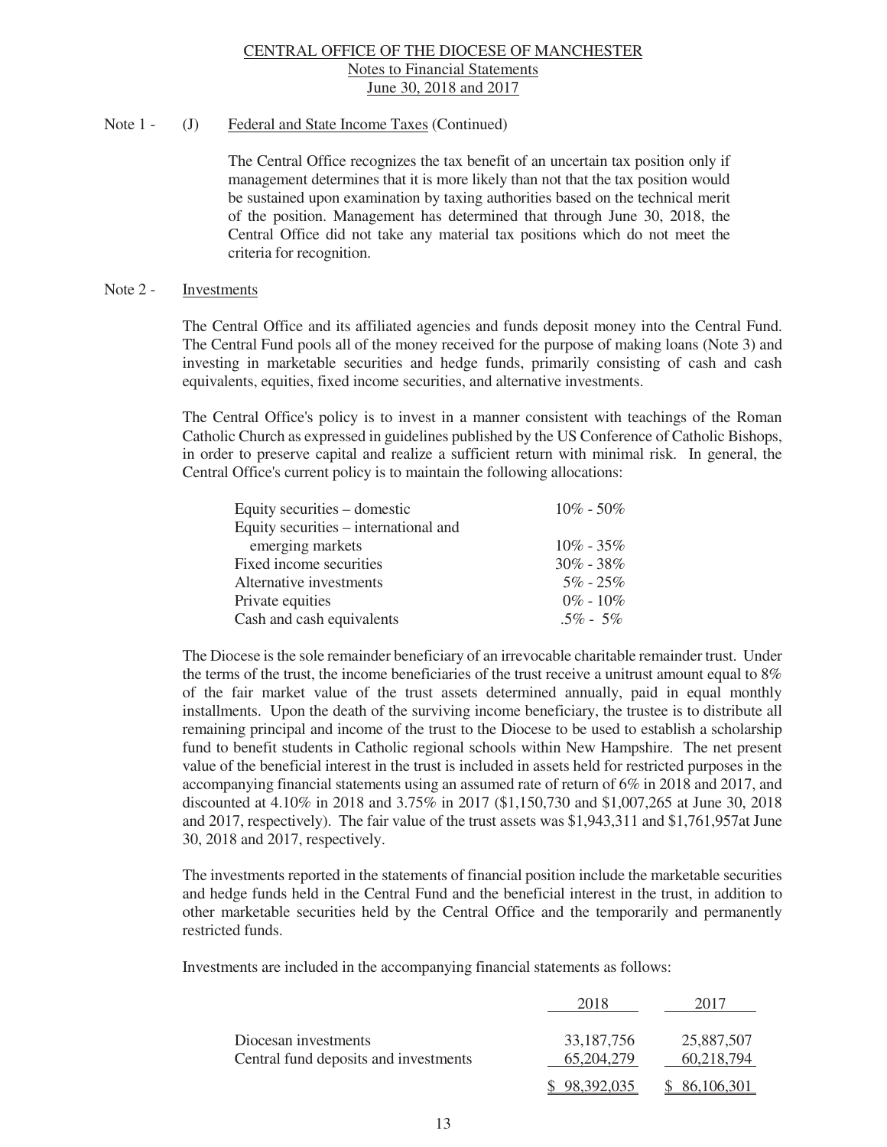## Note 1 - (J) Federal and State Income Taxes (Continued)

The Central Office recognizes the tax benefit of an uncertain tax position only if management determines that it is more likely than not that the tax position would be sustained upon examination by taxing authorities based on the technical merit of the position. Management has determined that through June 30, 2018, the Central Office did not take any material tax positions which do not meet the criteria for recognition.

#### Note 2 - Investments

 The Central Office and its affiliated agencies and funds deposit money into the Central Fund. The Central Fund pools all of the money received for the purpose of making loans (Note 3) and investing in marketable securities and hedge funds, primarily consisting of cash and cash equivalents, equities, fixed income securities, and alternative investments.

 The Central Office's policy is to invest in a manner consistent with teachings of the Roman Catholic Church as expressed in guidelines published by the US Conference of Catholic Bishops, in order to preserve capital and realize a sufficient return with minimal risk. In general, the Central Office's current policy is to maintain the following allocations:

| Equity securities – domestic          | $10\% - 50\%$ |
|---------------------------------------|---------------|
| Equity securities – international and |               |
| emerging markets                      | $10\% - 35\%$ |
| Fixed income securities               | $30\% - 38\%$ |
| Alternative investments               | $5\% - 25\%$  |
| Private equities                      | $0\% - 10\%$  |
| Cash and cash equivalents             | $.5\% - 5\%$  |

 The Diocese is the sole remainder beneficiary of an irrevocable charitable remainder trust. Under the terms of the trust, the income beneficiaries of the trust receive a unitrust amount equal to 8% of the fair market value of the trust assets determined annually, paid in equal monthly installments. Upon the death of the surviving income beneficiary, the trustee is to distribute all remaining principal and income of the trust to the Diocese to be used to establish a scholarship fund to benefit students in Catholic regional schools within New Hampshire. The net present value of the beneficial interest in the trust is included in assets held for restricted purposes in the accompanying financial statements using an assumed rate of return of 6% in 2018 and 2017, and discounted at 4.10% in 2018 and 3.75% in 2017 (\$1,150,730 and \$1,007,265 at June 30, 2018 and 2017, respectively). The fair value of the trust assets was \$1,943,311 and \$1,761,957at June 30, 2018 and 2017, respectively.

 The investments reported in the statements of financial position include the marketable securities and hedge funds held in the Central Fund and the beneficial interest in the trust, in addition to other marketable securities held by the Central Office and the temporarily and permanently restricted funds.

Investments are included in the accompanying financial statements as follows:

|                                                               | 2018                         | 2017                     |
|---------------------------------------------------------------|------------------------------|--------------------------|
| Diocesan investments<br>Central fund deposits and investments | 33, 187, 756<br>65, 204, 279 | 25,887,507<br>60,218,794 |
|                                                               | 98,392,035                   | 86,106,301               |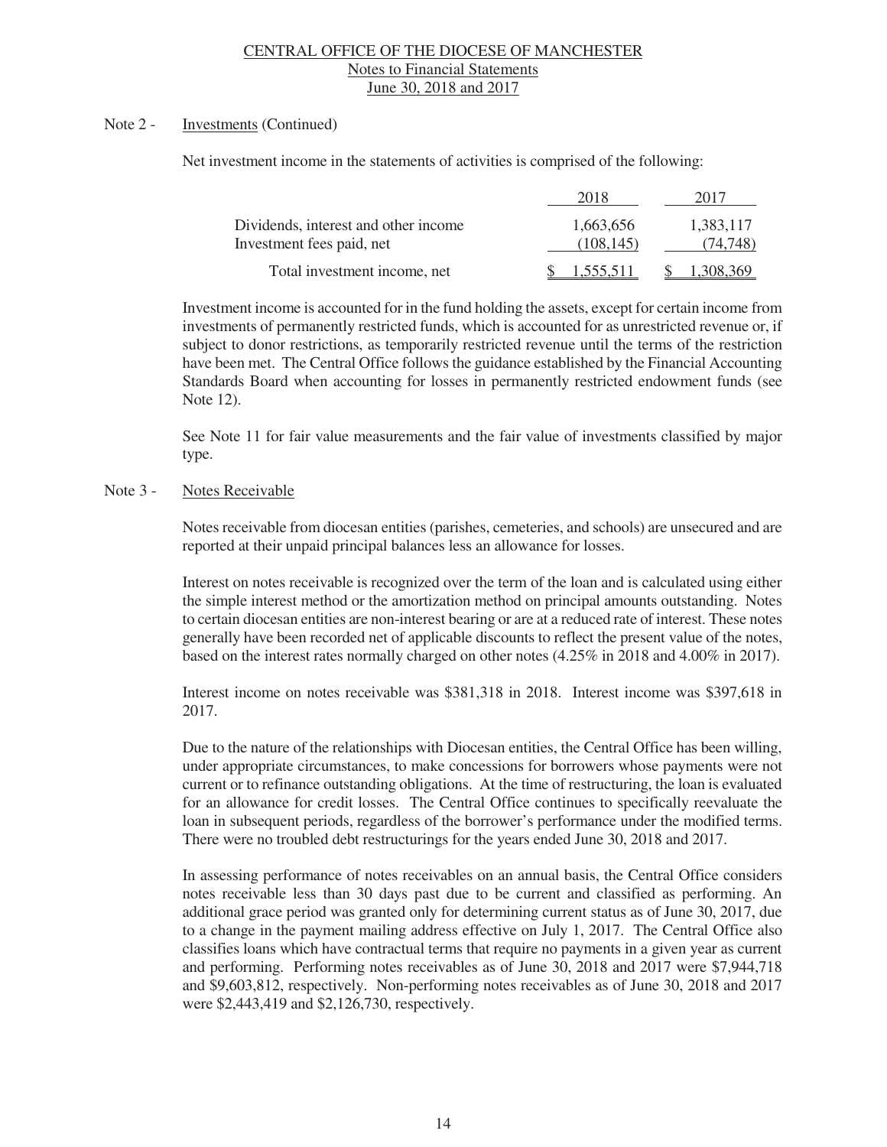#### Note 2 - Investments (Continued)

Net investment income in the statements of activities is comprised of the following:

|                                      |           | 2017      |
|--------------------------------------|-----------|-----------|
| Dividends, interest and other income | 1,663,656 | 1,383,117 |
| Investment fees paid, net            | (108.145) | (74,748)  |
| Total investment income, net         | 1.555.511 | .308.369  |

Investment income is accounted for in the fund holding the assets, except for certain income from investments of permanently restricted funds, which is accounted for as unrestricted revenue or, if subject to donor restrictions, as temporarily restricted revenue until the terms of the restriction have been met. The Central Office follows the guidance established by the Financial Accounting Standards Board when accounting for losses in permanently restricted endowment funds (see Note 12).

 See Note 11 for fair value measurements and the fair value of investments classified by major type.

#### Note 3 - Notes Receivable

Notes receivable from diocesan entities (parishes, cemeteries, and schools) are unsecured and are reported at their unpaid principal balances less an allowance for losses.

Interest on notes receivable is recognized over the term of the loan and is calculated using either the simple interest method or the amortization method on principal amounts outstanding. Notes to certain diocesan entities are non-interest bearing or are at a reduced rate of interest. These notes generally have been recorded net of applicable discounts to reflect the present value of the notes, based on the interest rates normally charged on other notes (4.25% in 2018 and 4.00% in 2017).

Interest income on notes receivable was \$381,318 in 2018. Interest income was \$397,618 in 2017.

Due to the nature of the relationships with Diocesan entities, the Central Office has been willing, under appropriate circumstances, to make concessions for borrowers whose payments were not current or to refinance outstanding obligations. At the time of restructuring, the loan is evaluated for an allowance for credit losses. The Central Office continues to specifically reevaluate the loan in subsequent periods, regardless of the borrower's performance under the modified terms. There were no troubled debt restructurings for the years ended June 30, 2018 and 2017.

In assessing performance of notes receivables on an annual basis, the Central Office considers notes receivable less than 30 days past due to be current and classified as performing. An additional grace period was granted only for determining current status as of June 30, 2017, due to a change in the payment mailing address effective on July 1, 2017. The Central Office also classifies loans which have contractual terms that require no payments in a given year as current and performing. Performing notes receivables as of June 30, 2018 and 2017 were \$7,944,718 and \$9,603,812, respectively. Non-performing notes receivables as of June 30, 2018 and 2017 were \$2,443,419 and \$2,126,730, respectively.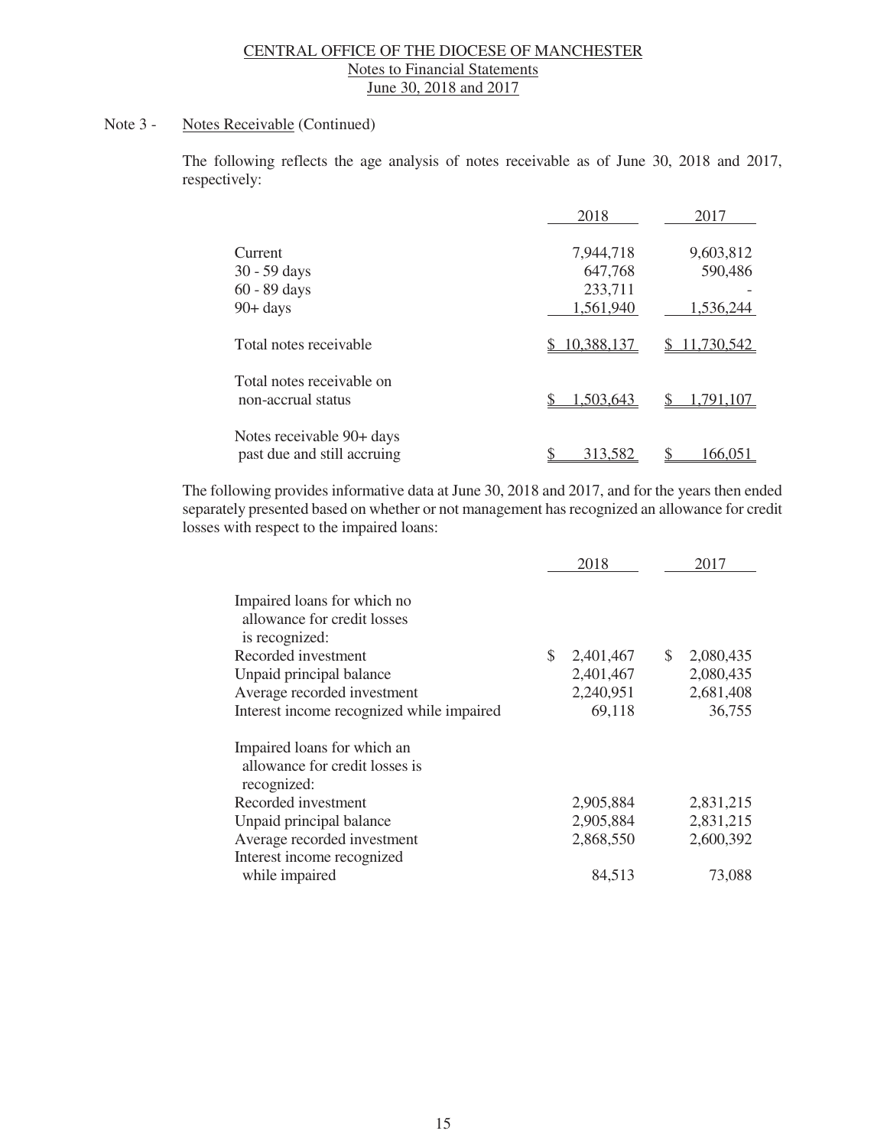#### Note 3 - Notes Receivable (Continued)

The following reflects the age analysis of notes receivable as of June 30, 2018 and 2017, respectively:

|                                                          | 2018       | 2017            |
|----------------------------------------------------------|------------|-----------------|
| Current                                                  | 7,944,718  | 9,603,812       |
| 30 - 59 days                                             | 647,768    | 590,486         |
| 60 - 89 days                                             | 233,711    |                 |
| $90 + days$                                              | 1,561,940  | 1,536,244       |
| Total notes receivable                                   | 10,388,137 | 11,730,542<br>S |
| Total notes receivable on<br>non-accrual status          | 1,503,643  | ,791,107        |
| Notes receivable 90+ days<br>past due and still accruing | 313,582    | 166,051         |

The following provides informative data at June 30, 2018 and 2017, and for the years then ended separately presented based on whether or not management has recognized an allowance for credit losses with respect to the impaired loans:

|                                                                              |    | 2018      |              | 2017      |
|------------------------------------------------------------------------------|----|-----------|--------------|-----------|
| Impaired loans for which no<br>allowance for credit losses<br>is recognized: |    |           |              |           |
| Recorded investment                                                          | S. | 2,401,467 | <sup>S</sup> | 2,080,435 |
| Unpaid principal balance                                                     |    | 2,401,467 |              | 2,080,435 |
| Average recorded investment                                                  |    | 2,240,951 |              | 2,681,408 |
| Interest income recognized while impaired                                    |    | 69,118    |              | 36,755    |
| Impaired loans for which an                                                  |    |           |              |           |
| allowance for credit losses is<br>recognized:                                |    |           |              |           |
| Recorded investment                                                          |    | 2,905,884 |              | 2,831,215 |
| Unpaid principal balance                                                     |    | 2,905,884 |              | 2,831,215 |
| Average recorded investment<br>Interest income recognized                    |    | 2,868,550 |              | 2,600,392 |
| while impaired                                                               |    | 84,513    |              | 73,088    |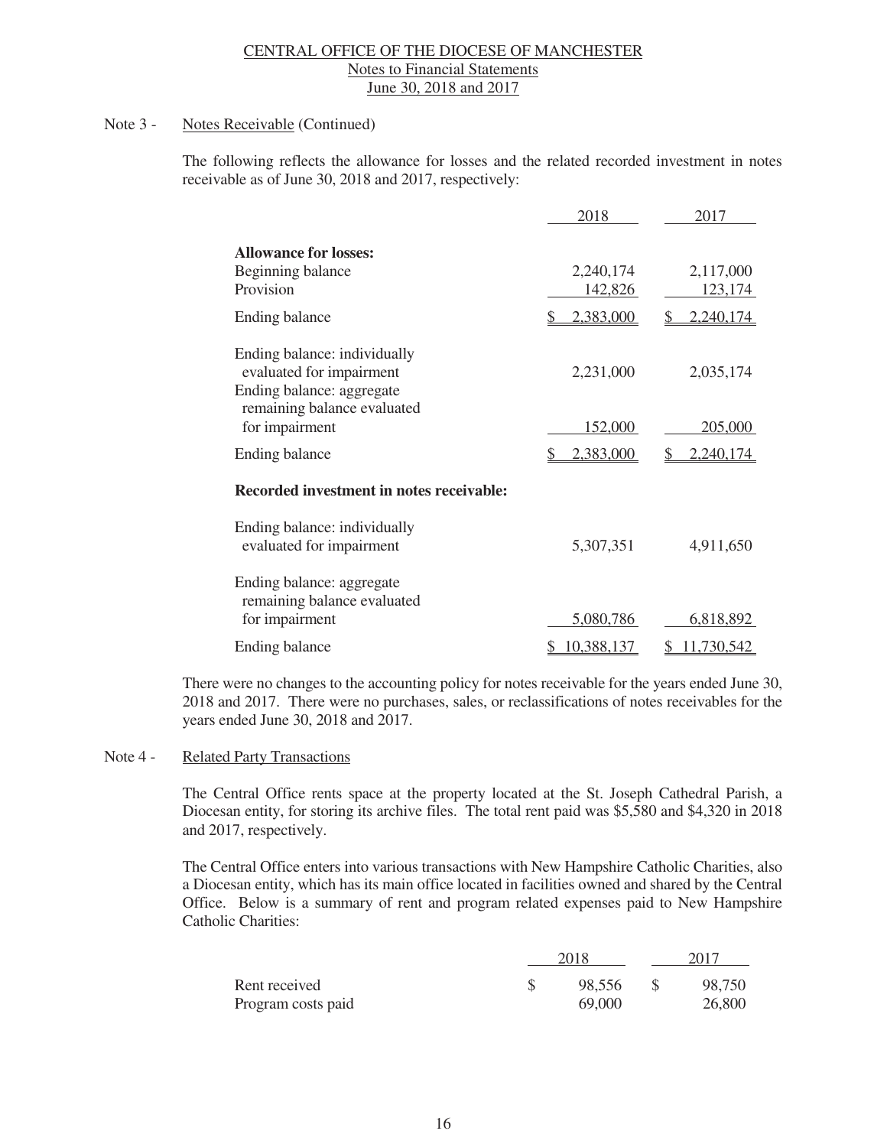#### Note 3 - Notes Receivable (Continued)

The following reflects the allowance for losses and the related recorded investment in notes receivable as of June 30, 2018 and 2017, respectively:

|                                                                                                                      | 2018                 | 2017                 |
|----------------------------------------------------------------------------------------------------------------------|----------------------|----------------------|
| <b>Allowance for losses:</b><br>Beginning balance<br>Provision                                                       | 2,240,174<br>142,826 | 2,117,000<br>123,174 |
| Ending balance                                                                                                       | 2,383,000            | 2,240,174<br>\$      |
| Ending balance: individually<br>evaluated for impairment<br>Ending balance: aggregate<br>remaining balance evaluated | 2,231,000            | 2,035,174            |
| for impairment                                                                                                       | 152,000              | 205,000              |
| Ending balance                                                                                                       | 2,383,000            | S<br>2,240,174       |
| Recorded investment in notes receivable:                                                                             |                      |                      |
| Ending balance: individually<br>evaluated for impairment                                                             | 5,307,351            | 4,911,650            |
| Ending balance: aggregate<br>remaining balance evaluated<br>for impairment                                           | 5,080,786            | 6,818,892            |
| Ending balance                                                                                                       | 10,388,137           | 11,730,542<br>\$     |

There were no changes to the accounting policy for notes receivable for the years ended June 30, 2018 and 2017. There were no purchases, sales, or reclassifications of notes receivables for the years ended June 30, 2018 and 2017.

## Note 4 - Related Party Transactions

 The Central Office rents space at the property located at the St. Joseph Cathedral Parish, a Diocesan entity, for storing its archive files. The total rent paid was \$5,580 and \$4,320 in 2018 and 2017, respectively.

 The Central Office enters into various transactions with New Hampshire Catholic Charities, also a Diocesan entity, which has its main office located in facilities owned and shared by the Central Office. Below is a summary of rent and program related expenses paid to New Hampshire Catholic Charities:

|                    | 2018   |              |        |
|--------------------|--------|--------------|--------|
| Rent received      | 98,556 | <sup>S</sup> | 98,750 |
| Program costs paid | 69,000 |              | 26,800 |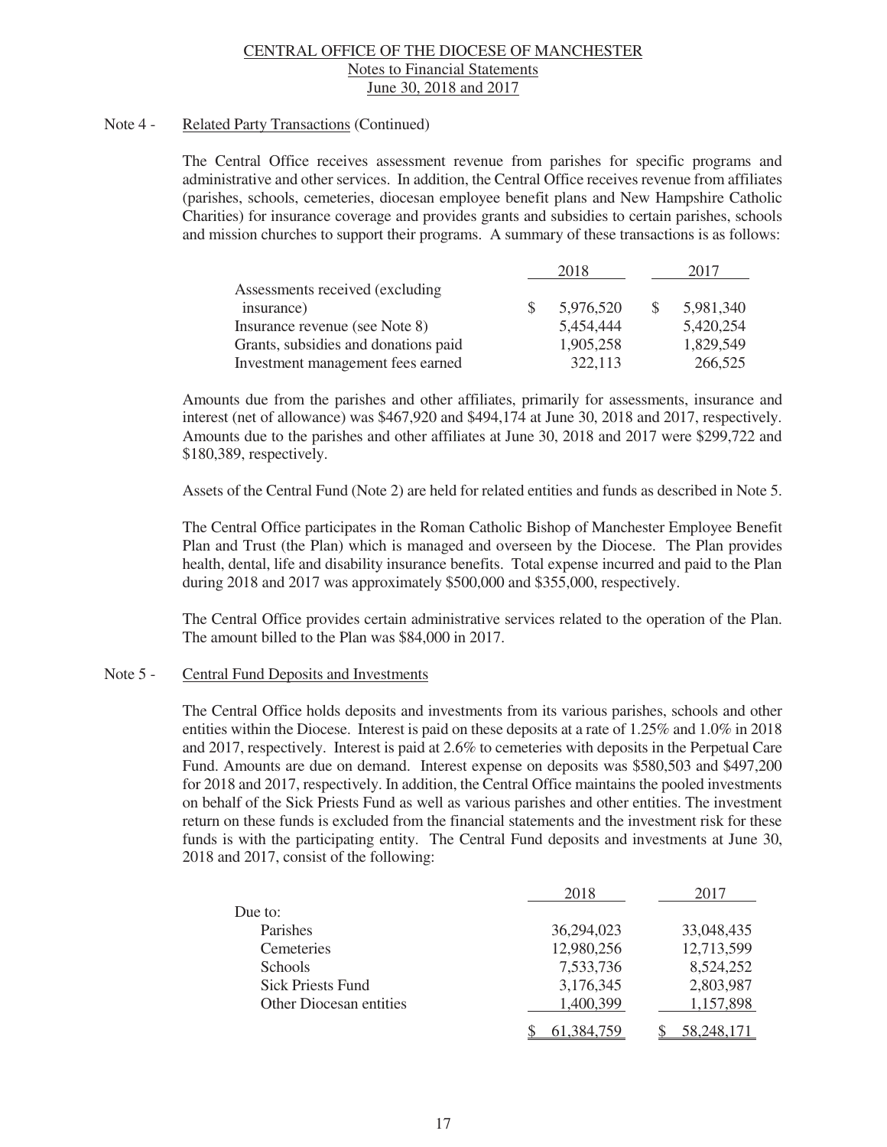#### Note 4 - Related Party Transactions (Continued)

 The Central Office receives assessment revenue from parishes for specific programs and administrative and other services. In addition, the Central Office receives revenue from affiliates (parishes, schools, cemeteries, diocesan employee benefit plans and New Hampshire Catholic Charities) for insurance coverage and provides grants and subsidies to certain parishes, schools and mission churches to support their programs. A summary of these transactions is as follows:

|                                      | 2018      | 2017      |
|--------------------------------------|-----------|-----------|
| Assessments received (excluding)     |           |           |
| insurance)                           | 5,976,520 | 5,981,340 |
| Insurance revenue (see Note 8)       | 5,454,444 | 5,420,254 |
| Grants, subsidies and donations paid | 1,905,258 | 1,829,549 |
| Investment management fees earned    | 322,113   | 266,525   |

 Amounts due from the parishes and other affiliates, primarily for assessments, insurance and interest (net of allowance) was \$467,920 and \$494,174 at June 30, 2018 and 2017, respectively. Amounts due to the parishes and other affiliates at June 30, 2018 and 2017 were \$299,722 and \$180,389, respectively.

Assets of the Central Fund (Note 2) are held for related entities and funds as described in Note 5.

The Central Office participates in the Roman Catholic Bishop of Manchester Employee Benefit Plan and Trust (the Plan) which is managed and overseen by the Diocese. The Plan provides health, dental, life and disability insurance benefits. Total expense incurred and paid to the Plan during 2018 and 2017 was approximately \$500,000 and \$355,000, respectively.

The Central Office provides certain administrative services related to the operation of the Plan. The amount billed to the Plan was \$84,000 in 2017.

#### Note 5 - Central Fund Deposits and Investments

 The Central Office holds deposits and investments from its various parishes, schools and other entities within the Diocese. Interest is paid on these deposits at a rate of 1.25% and 1.0% in 2018 and 2017, respectively. Interest is paid at 2.6% to cemeteries with deposits in the Perpetual Care Fund. Amounts are due on demand. Interest expense on deposits was \$580,503 and \$497,200 for 2018 and 2017, respectively. In addition, the Central Office maintains the pooled investments on behalf of the Sick Priests Fund as well as various parishes and other entities. The investment return on these funds is excluded from the financial statements and the investment risk for these funds is with the participating entity. The Central Fund deposits and investments at June 30, 2018 and 2017, consist of the following:

|                                | 2018       | 2017       |
|--------------------------------|------------|------------|
| Due to:                        |            |            |
| Parishes                       | 36,294,023 | 33,048,435 |
| Cemeteries                     | 12,980,256 | 12,713,599 |
| Schools                        | 7,533,736  | 8,524,252  |
| <b>Sick Priests Fund</b>       | 3,176,345  | 2,803,987  |
| <b>Other Diocesan entities</b> | 1,400,399  | 1,157,898  |
|                                | 61,384,759 | 58,248,171 |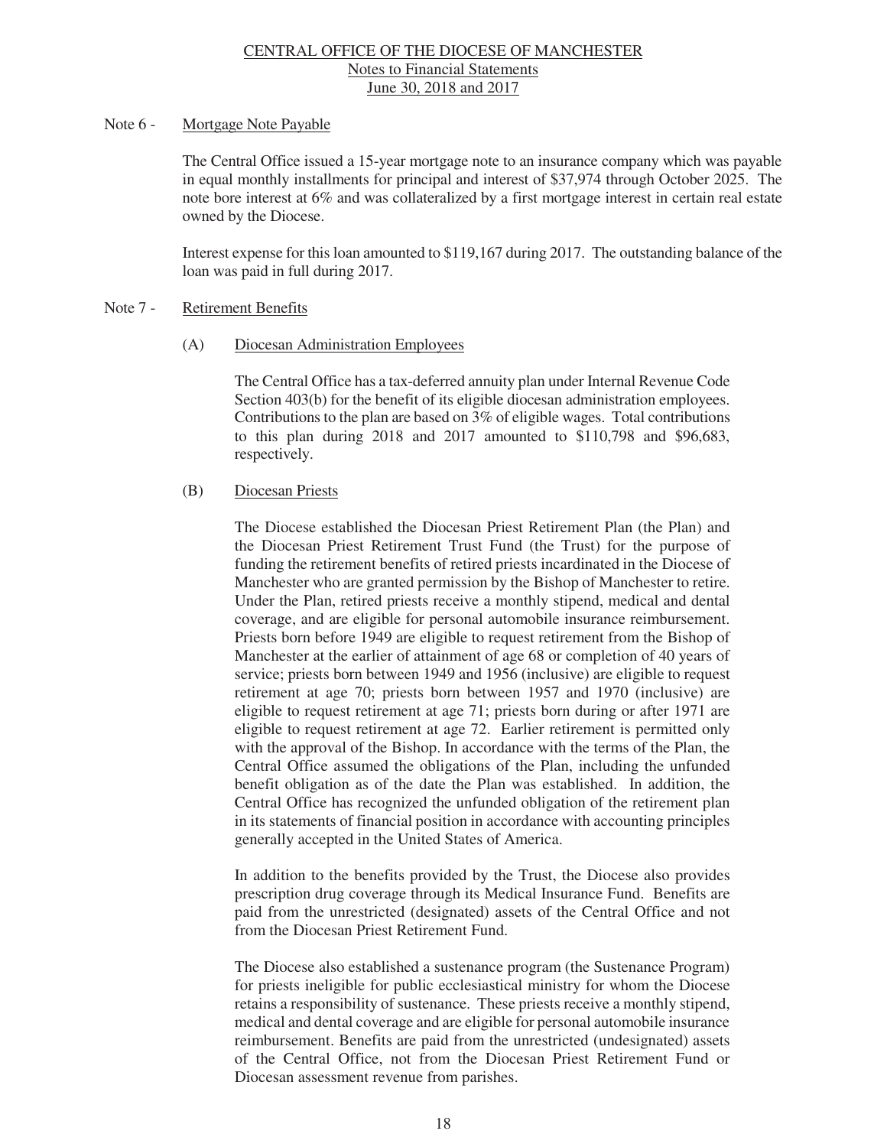#### Note 6 - Mortgage Note Payable

The Central Office issued a 15-year mortgage note to an insurance company which was payable in equal monthly installments for principal and interest of \$37,974 through October 2025. The note bore interest at 6% and was collateralized by a first mortgage interest in certain real estate owned by the Diocese.

Interest expense for this loan amounted to \$119,167 during 2017. The outstanding balance of the loan was paid in full during 2017.

#### Note 7 - Retirement Benefits

#### (A) Diocesan Administration Employees

The Central Office has a tax-deferred annuity plan under Internal Revenue Code Section 403(b) for the benefit of its eligible diocesan administration employees. Contributions to the plan are based on 3% of eligible wages. Total contributions to this plan during 2018 and 2017 amounted to \$110,798 and \$96,683, respectively.

## (B) Diocesan Priests

The Diocese established the Diocesan Priest Retirement Plan (the Plan) and the Diocesan Priest Retirement Trust Fund (the Trust) for the purpose of funding the retirement benefits of retired priests incardinated in the Diocese of Manchester who are granted permission by the Bishop of Manchester to retire. Under the Plan, retired priests receive a monthly stipend, medical and dental coverage, and are eligible for personal automobile insurance reimbursement. Priests born before 1949 are eligible to request retirement from the Bishop of Manchester at the earlier of attainment of age 68 or completion of 40 years of service; priests born between 1949 and 1956 (inclusive) are eligible to request retirement at age 70; priests born between 1957 and 1970 (inclusive) are eligible to request retirement at age 71; priests born during or after 1971 are eligible to request retirement at age 72. Earlier retirement is permitted only with the approval of the Bishop. In accordance with the terms of the Plan, the Central Office assumed the obligations of the Plan, including the unfunded benefit obligation as of the date the Plan was established. In addition, the Central Office has recognized the unfunded obligation of the retirement plan in its statements of financial position in accordance with accounting principles generally accepted in the United States of America.

In addition to the benefits provided by the Trust, the Diocese also provides prescription drug coverage through its Medical Insurance Fund. Benefits are paid from the unrestricted (designated) assets of the Central Office and not from the Diocesan Priest Retirement Fund.

The Diocese also established a sustenance program (the Sustenance Program) for priests ineligible for public ecclesiastical ministry for whom the Diocese retains a responsibility of sustenance. These priests receive a monthly stipend, medical and dental coverage and are eligible for personal automobile insurance reimbursement. Benefits are paid from the unrestricted (undesignated) assets of the Central Office, not from the Diocesan Priest Retirement Fund or Diocesan assessment revenue from parishes.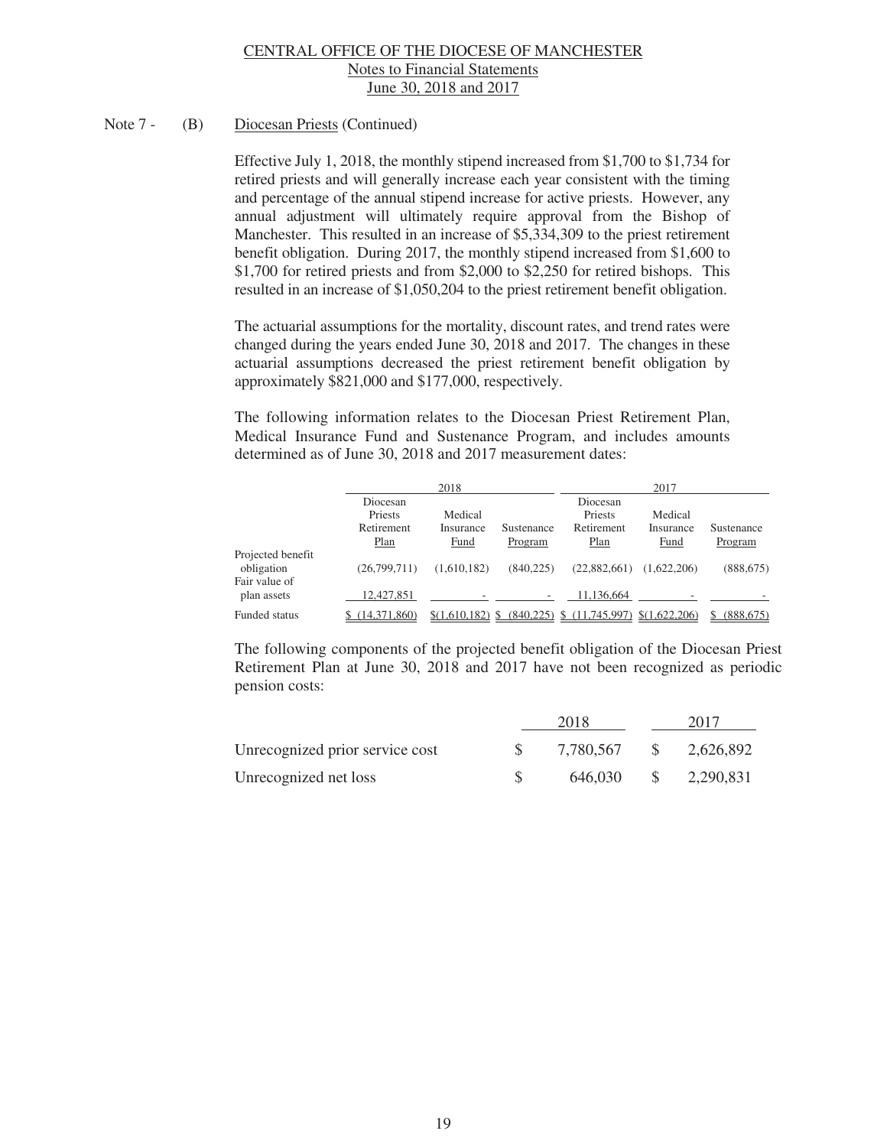## Note 7 - (B) Diocesan Priests (Continued)

Effective July 1, 2018, the monthly stipend increased from \$1,700 to \$1,734 for retired priests and will generally increase each year consistent with the timing and percentage of the annual stipend increase for active priests. However, any annual adjustment will ultimately require approval from the Bishop of Manchester. This resulted in an increase of \$5,334,309 to the priest retirement benefit obligation. During 2017, the monthly stipend increased from \$1,600 to \$1,700 for retired priests and from \$2,000 to \$2,250 for retired bishops. This resulted in an increase of \$1,050,204 to the priest retirement benefit obligation.

The actuarial assumptions for the mortality, discount rates, and trend rates were changed during the years ended June 30, 2018 and 2017. The changes in these actuarial assumptions decreased the priest retirement benefit obligation by approximately \$821,000 and \$177,000, respectively.

The following information relates to the Diocesan Priest Retirement Plan, Medical Insurance Fund and Sustenance Program, and includes amounts determined as of June 30, 2018 and 2017 measurement dates:

|                   |                | 2018              |            |                | 2017          |            |
|-------------------|----------------|-------------------|------------|----------------|---------------|------------|
|                   | Diocesan       |                   |            | Diocesan       |               |            |
|                   | Priests        | Medical           |            | Priests        | Medical       |            |
|                   | Retirement     | Insurance         | Sustenance | Retirement     | Insurance     | Sustenance |
|                   | Plan           | <b>Fund</b>       | Program    | Plan           | <b>Fund</b>   | Program    |
| Projected benefit |                |                   |            |                |               |            |
| obligation        | (26,799,711)   | (1,610,182)       | (840, 225) | (22,882,661)   | (1,622,206)   | (888, 675) |
| Fair value of     |                |                   |            |                |               |            |
| plan assets       | 12,427,851     |                   |            | 11.136.664     |               |            |
| Funded status     | \$(14.371.860) | $$(1,610,182)$ \; | (840, 225) | \$(11,745,997) | \$(1,622,206) | (888,675)  |

The following components of the projected benefit obligation of the Diocesan Priest Retirement Plan at June 30, 2018 and 2017 have not been recognized as periodic pension costs:

|                                 | 2018      |     | 2017      |
|---------------------------------|-----------|-----|-----------|
| Unrecognized prior service cost | 7.780.567 | -SS | 2,626,892 |
| Unrecognized net loss           | 646.030   |     | 2,290,831 |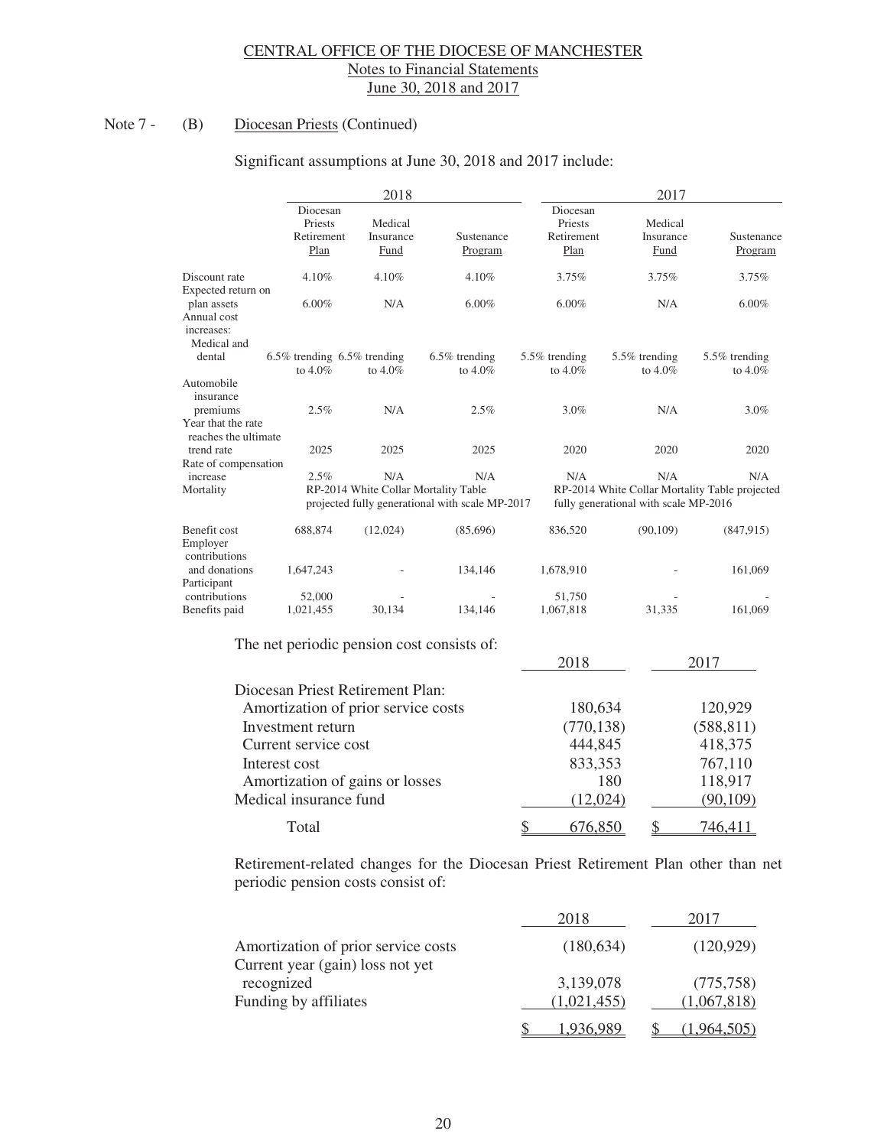# Note 7 - (B) Diocesan Priests (Continued)

|                                                                               |                                            | 2018                                        |                                                        | 2017                                      |                                              |                                                       |
|-------------------------------------------------------------------------------|--------------------------------------------|---------------------------------------------|--------------------------------------------------------|-------------------------------------------|----------------------------------------------|-------------------------------------------------------|
|                                                                               | Diocesan<br>Priests<br>Retirement<br>Plan  | Medical<br>Insurance<br>Fund                | Sustenance<br>Program                                  | Diocesan<br>Priests<br>Retirement<br>Plan | Medical<br>Insurance<br>Fund                 | Sustenance<br>Program                                 |
| Discount rate                                                                 | 4.10%                                      | 4.10%                                       | 4.10%                                                  | 3.75%                                     | 3.75%                                        | 3.75%                                                 |
| Expected return on<br>plan assets<br>Annual cost<br>increases:<br>Medical and | $6.00\%$                                   | N/A                                         | $6.00\%$                                               | 6.00%                                     | N/A                                          | $6.00\%$                                              |
| dental                                                                        | 6.5% trending 6.5% trending<br>to $4.0\%$  | to $4.0\%$                                  | $6.5\%$ trending<br>to $4.0\%$                         | 5.5% trending<br>to $4.0\%$               | 5.5% trending<br>to $4.0\%$                  | 5.5% trending<br>to $4.0\%$                           |
| Automobile<br>insurance                                                       |                                            |                                             |                                                        |                                           |                                              |                                                       |
| premiums<br>Year that the rate<br>reaches the ultimate                        | 2.5%                                       | N/A                                         | 2.5%                                                   | 3.0%                                      | N/A                                          | 3.0%                                                  |
| trend rate                                                                    | 2025                                       | 2025                                        | 2025                                                   | 2020                                      | 2020                                         | 2020                                                  |
| Rate of compensation                                                          |                                            |                                             |                                                        |                                           |                                              |                                                       |
| increase<br>Mortality                                                         | 2.5%                                       | N/A<br>RP-2014 White Collar Mortality Table | N/A<br>projected fully generational with scale MP-2017 | N/A                                       | N/A<br>fully generational with scale MP-2016 | N/A<br>RP-2014 White Collar Mortality Table projected |
| Benefit cost<br>Employer<br>contributions                                     | 688,874                                    | (12,024)                                    | (85,696)                                               | 836,520                                   | (90, 109)                                    | (847, 915)                                            |
| and donations<br>Participant                                                  | 1,647,243                                  |                                             | 134,146                                                | 1,678,910                                 |                                              | 161,069                                               |
| contributions<br>Benefits paid                                                | 52,000<br>1,021,455                        | 30,134                                      | 134,146                                                | 51,750<br>1,067,818                       | 31,335                                       | 161,069                                               |
|                                                                               | The net periodic pension cost consists of: |                                             |                                                        |                                           |                                              |                                                       |
|                                                                               |                                            |                                             |                                                        | 2018                                      |                                              | 2017                                                  |
|                                                                               | Diocesan Priest Retirement Plan:           |                                             |                                                        |                                           |                                              |                                                       |
|                                                                               | Amortization of prior service costs        |                                             |                                                        | 180,634                                   |                                              | 120,929                                               |
|                                                                               | Investment return                          |                                             |                                                        | (770, 138)                                |                                              | (588, 811)                                            |
|                                                                               | Current service cost                       |                                             |                                                        | 444,845                                   |                                              | 418,375                                               |
|                                                                               | Interest cost                              |                                             |                                                        | 833,353                                   |                                              | 767,110                                               |
|                                                                               | Amortization of gains or losses            |                                             |                                                        |                                           | 180                                          | 118,917                                               |
|                                                                               | Medical insurance fund                     |                                             |                                                        | (12,024)                                  |                                              | (90, 109)                                             |
|                                                                               | Total                                      |                                             |                                                        | \$<br>676,850                             | \$                                           | 746,411                                               |

# Significant assumptions at June 30, 2018 and 2017 include:

Retirement-related changes for the Diocesan Priest Retirement Plan other than net periodic pension costs consist of:

|                                                | 2018        | 2017        |
|------------------------------------------------|-------------|-------------|
| Amortization of prior service costs            | (180, 634)  | (120, 929)  |
| Current year (gain) loss not yet<br>recognized | 3,139,078   | (775, 758)  |
| Funding by affiliates                          | (1,021,455) | (1,067,818) |
|                                                |             | 1,964,505   |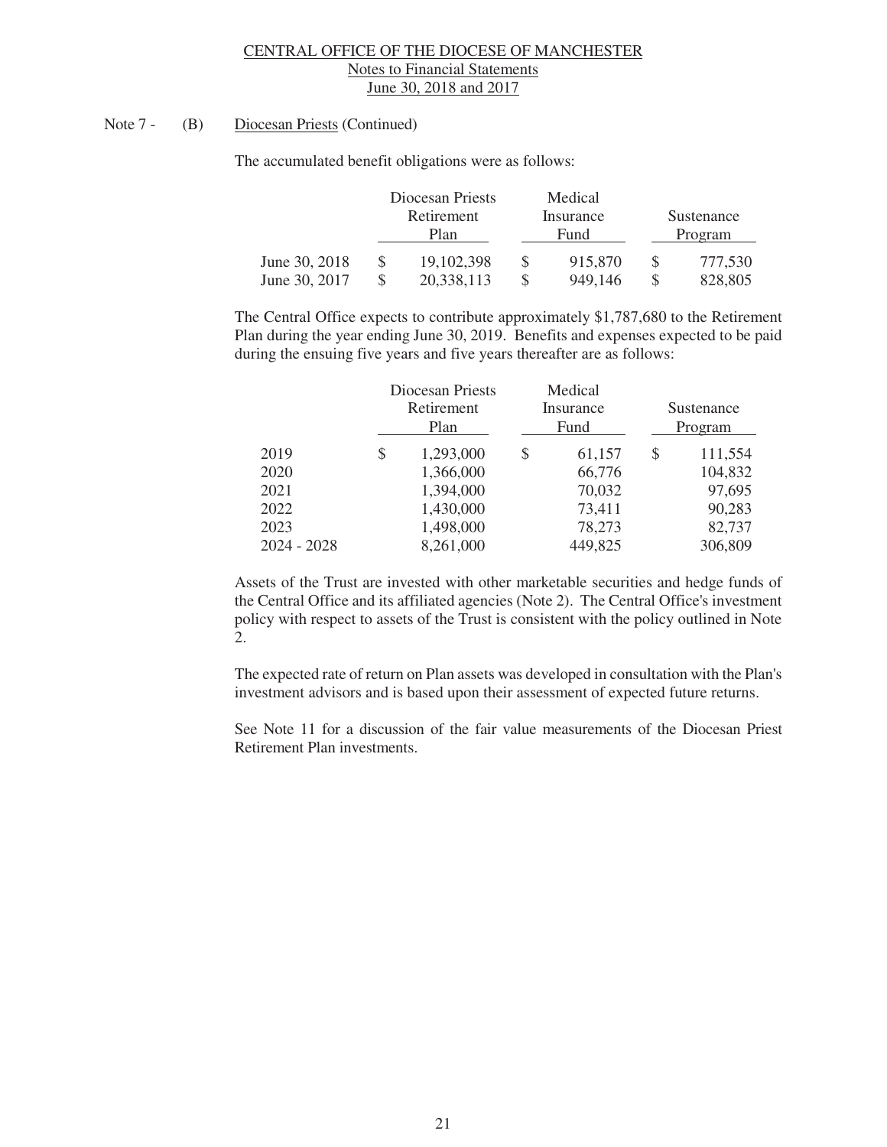#### Note 7 - (B) Diocesan Priests (Continued)

The accumulated benefit obligations were as follows:

|                                | Diocesan Priests<br>Retirement<br>Plan | Medical<br>Insurance<br>Fund | Sustenance<br>Program |
|--------------------------------|----------------------------------------|------------------------------|-----------------------|
| June 30, 2018<br>June 30, 2017 | 19, 102, 398<br>20,338,113             | 915.870<br>949,146           | 777,530<br>828,805    |

The Central Office expects to contribute approximately \$1,787,680 to the Retirement Plan during the year ending June 30, 2019. Benefits and expenses expected to be paid during the ensuing five years and five years thereafter are as follows:

|               | Diocesan Priests<br>Retirement<br>Plan | Medical<br>Insurance<br>Fund |   | Sustenance<br>Program |
|---------------|----------------------------------------|------------------------------|---|-----------------------|
| 2019          | \$<br>1,293,000                        | \$<br>61,157                 | S | 111,554               |
| 2020          | 1,366,000                              | 66,776                       |   | 104,832               |
| 2021          | 1,394,000                              | 70,032                       |   | 97,695                |
| 2022          | 1,430,000                              | 73,411                       |   | 90,283                |
| 2023          | 1,498,000                              | 78,273                       |   | 82,737                |
| $2024 - 2028$ | 8,261,000                              | 449,825                      |   | 306,809               |

 Assets of the Trust are invested with other marketable securities and hedge funds of the Central Office and its affiliated agencies (Note 2). The Central Office's investment policy with respect to assets of the Trust is consistent with the policy outlined in Note 2.

The expected rate of return on Plan assets was developed in consultation with the Plan's investment advisors and is based upon their assessment of expected future returns.

 See Note 11 for a discussion of the fair value measurements of the Diocesan Priest Retirement Plan investments.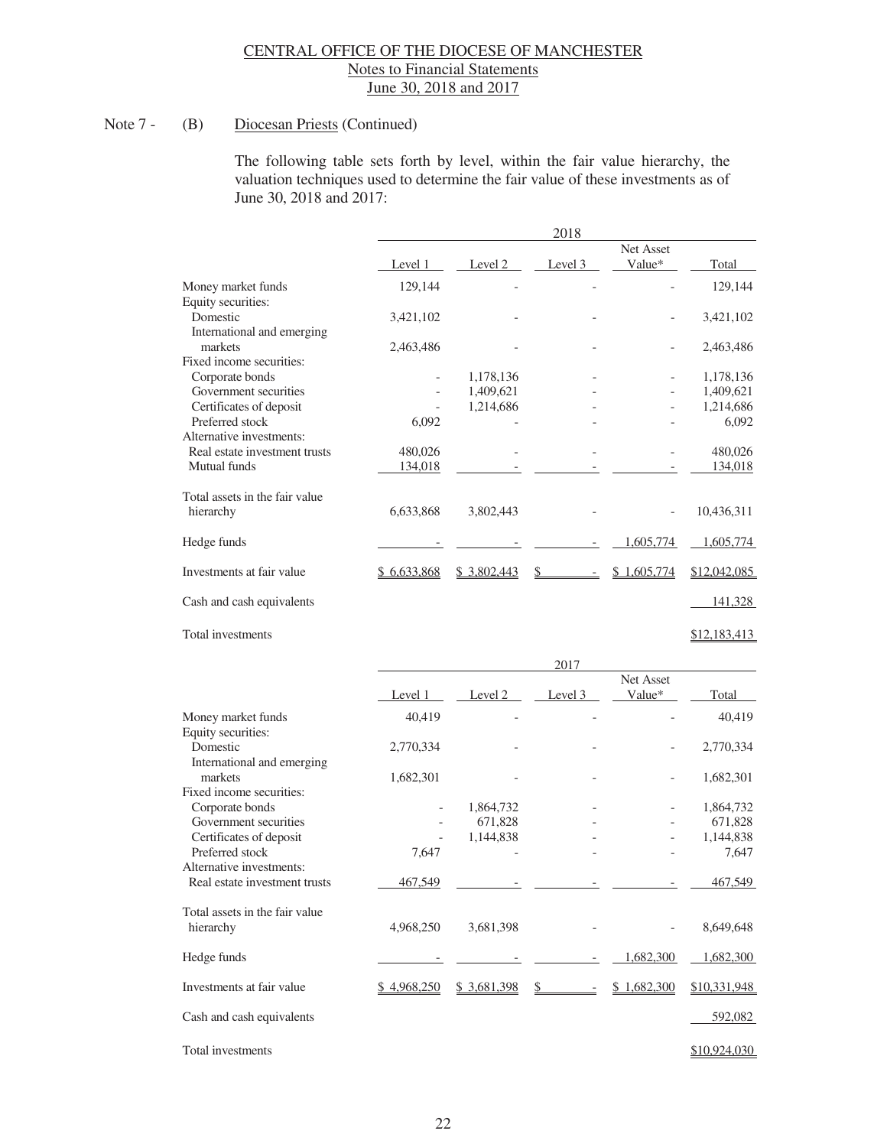#### Note 7 - (B) Diocesan Priests (Continued)

 The following table sets forth by level, within the fair value hierarchy, the valuation techniques used to determine the fair value of these investments as of June 30, 2018 and 2017:

|                                |             |             | 2018    |                 |              |
|--------------------------------|-------------|-------------|---------|-----------------|--------------|
|                                |             |             |         | Net Asset       |              |
|                                | Level 1     | Level 2     | Level 3 | Value*          | Total        |
| Money market funds             | 129,144     |             |         |                 | 129,144      |
| Equity securities:             |             |             |         |                 |              |
| Domestic                       | 3,421,102   |             |         |                 | 3,421,102    |
| International and emerging     |             |             |         |                 |              |
| markets                        | 2,463,486   |             |         |                 | 2,463,486    |
| Fixed income securities:       |             |             |         |                 |              |
| Corporate bonds                |             | 1,178,136   |         |                 | 1,178,136    |
| Government securities          |             | 1,409,621   |         |                 | 1,409,621    |
| Certificates of deposit        |             | 1,214,686   |         |                 | 1,214,686    |
| Preferred stock                | 6,092       |             |         |                 | 6,092        |
| Alternative investments:       |             |             |         |                 |              |
| Real estate investment trusts  | 480,026     |             |         |                 | 480,026      |
| Mutual funds                   | 134,018     |             |         |                 | 134,018      |
| Total assets in the fair value |             |             |         |                 |              |
| hierarchy                      | 6,633,868   | 3,802,443   |         |                 | 10,436,311   |
| Hedge funds                    |             |             |         | 1,605,774       | 1,605,774    |
| Investments at fair value      | \$6,633,868 | \$3,802,443 | \$      | 1,605,774<br>\$ | \$12,042,085 |
| Cash and cash equivalents      |             |             |         |                 | 141,328      |
| Total investments              |             |             |         |                 | \$12,183,413 |
|                                |             |             | 2017    |                 |              |
|                                |             |             |         | Net Asset       |              |

|                                | Level 1     | Level 2      | Level 3 | 1 JUL 2 1990 L<br>Value* | Total        |
|--------------------------------|-------------|--------------|---------|--------------------------|--------------|
| Money market funds             | 40,419      |              |         |                          | 40,419       |
| Equity securities:             |             |              |         |                          |              |
| Domestic                       | 2,770,334   |              |         |                          | 2,770,334    |
| International and emerging     |             |              |         |                          |              |
| markets                        | 1,682,301   |              |         |                          | 1,682,301    |
| Fixed income securities:       |             |              |         |                          |              |
| Corporate bonds                |             | 1,864,732    |         |                          | 1,864,732    |
| Government securities          |             | 671,828      |         |                          | 671,828      |
| Certificates of deposit        |             | 1,144,838    |         |                          | 1,144,838    |
| Preferred stock                | 7,647       |              |         |                          | 7,647        |
| Alternative investments:       |             |              |         |                          |              |
| Real estate investment trusts  | 467,549     |              |         |                          | 467,549      |
| Total assets in the fair value |             |              |         |                          |              |
| hierarchy                      | 4,968,250   | 3,681,398    |         |                          | 8,649,648    |
| Hedge funds                    |             |              |         | 1,682,300                | 1,682,300    |
|                                |             |              |         |                          |              |
| Investments at fair value      | \$4,968,250 | \$ 3,681,398 | \$      | 1,682,300<br>\$.         | \$10,331,948 |
| Cash and cash equivalents      |             |              |         |                          | 592,082      |
|                                |             |              |         |                          |              |
| Total investments              |             |              |         |                          | \$10,924,030 |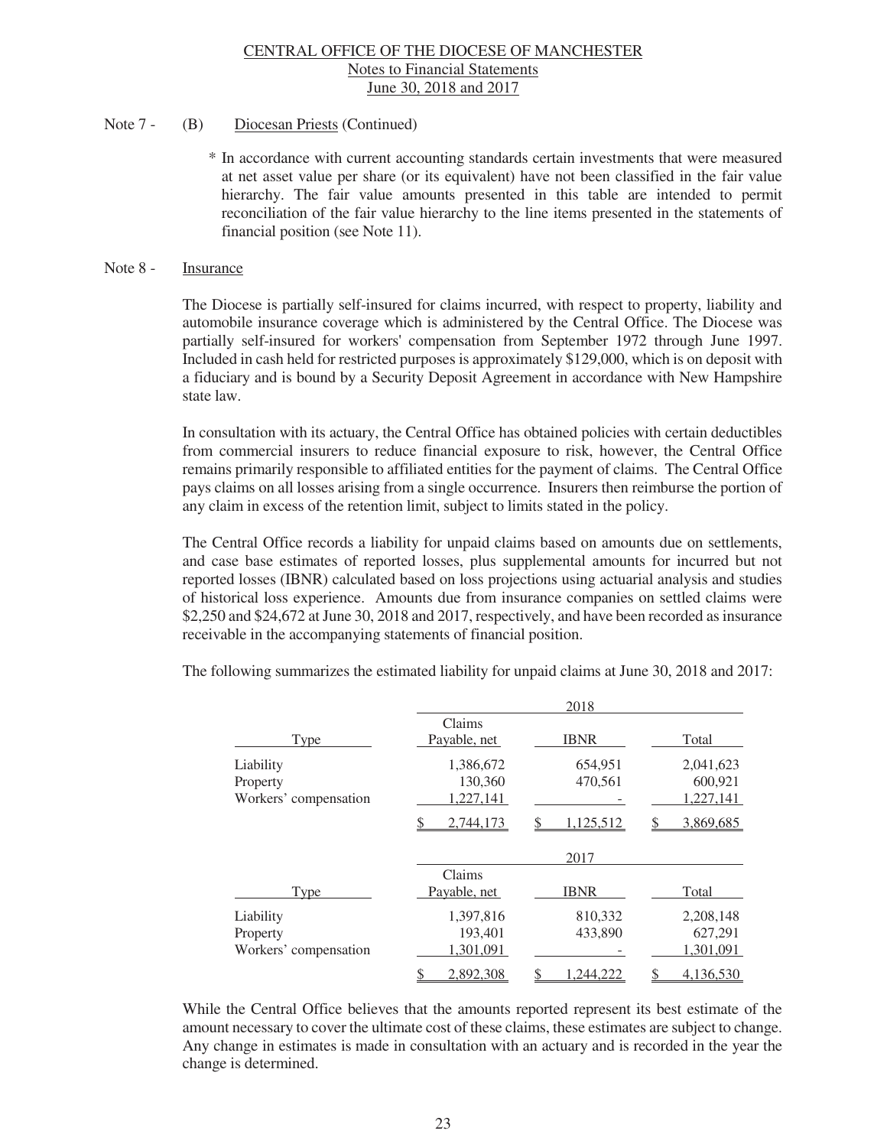## Note 7 - (B) Diocesan Priests (Continued)

\* In accordance with current accounting standards certain investments that were measured at net asset value per share (or its equivalent) have not been classified in the fair value hierarchy. The fair value amounts presented in this table are intended to permit reconciliation of the fair value hierarchy to the line items presented in the statements of financial position (see Note 11).

#### Note 8 - Insurance

 The Diocese is partially self-insured for claims incurred, with respect to property, liability and automobile insurance coverage which is administered by the Central Office. The Diocese was partially self-insured for workers' compensation from September 1972 through June 1997. Included in cash held for restricted purposes is approximately \$129,000, which is on deposit with a fiduciary and is bound by a Security Deposit Agreement in accordance with New Hampshire state law.

 In consultation with its actuary, the Central Office has obtained policies with certain deductibles from commercial insurers to reduce financial exposure to risk, however, the Central Office remains primarily responsible to affiliated entities for the payment of claims. The Central Office pays claims on all losses arising from a single occurrence. Insurers then reimburse the portion of any claim in excess of the retention limit, subject to limits stated in the policy.

 The Central Office records a liability for unpaid claims based on amounts due on settlements, and case base estimates of reported losses, plus supplemental amounts for incurred but not reported losses (IBNR) calculated based on loss projections using actuarial analysis and studies of historical loss experience. Amounts due from insurance companies on settled claims were \$2,250 and \$24,672 at June 30, 2018 and 2017, respectively, and have been recorded as insurance receivable in the accompanying statements of financial position.

|                                                |                                                | 2018                                 |                                                     |
|------------------------------------------------|------------------------------------------------|--------------------------------------|-----------------------------------------------------|
| Type                                           | Claims<br>Payable, net                         | <b>IBNR</b>                          | Total                                               |
| Liability<br>Property<br>Workers' compensation | 1,386,672<br>130,360<br>1,227,141<br>2,744,173 | 654,951<br>470,561<br>1,125,512<br>S | 2,041,623<br>600,921<br>1,227,141<br>3,869,685<br>S |
|                                                |                                                | 2017                                 |                                                     |
| <b>Type</b>                                    | Claims<br>Payable, net                         | <b>IBNR</b>                          | Total                                               |
| Liability<br>Property<br>Workers' compensation | 1,397,816<br>193,401<br>1,301,091              | 810,332<br>433,890                   | 2,208,148<br>627,291<br>1,301,091                   |
|                                                | 2,892,308                                      | 1,244,222                            | 4,136,530                                           |

The following summarizes the estimated liability for unpaid claims at June 30, 2018 and 2017:

 While the Central Office believes that the amounts reported represent its best estimate of the amount necessary to cover the ultimate cost of these claims, these estimates are subject to change. Any change in estimates is made in consultation with an actuary and is recorded in the year the change is determined.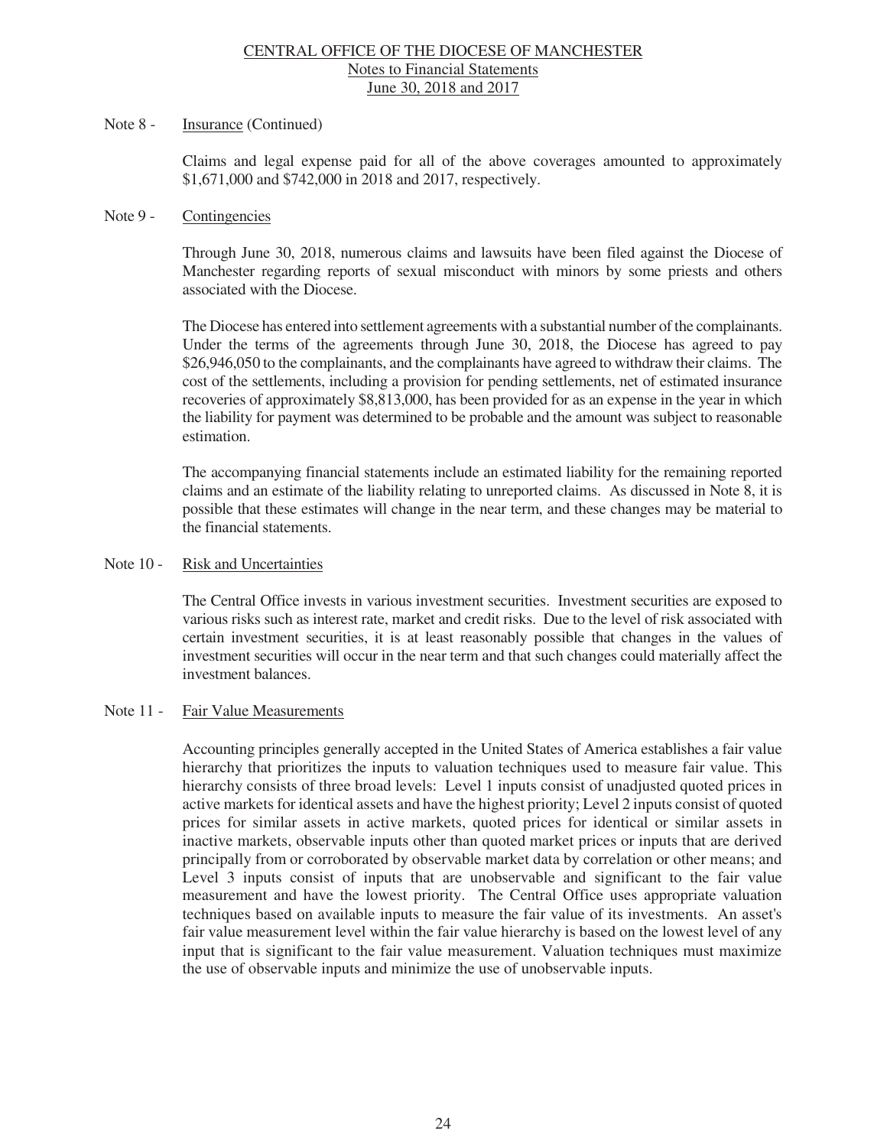#### Note 8 - Insurance (Continued)

 Claims and legal expense paid for all of the above coverages amounted to approximately \$1,671,000 and \$742,000 in 2018 and 2017, respectively.

#### Note 9 - Contingencies

Through June 30, 2018, numerous claims and lawsuits have been filed against the Diocese of Manchester regarding reports of sexual misconduct with minors by some priests and others associated with the Diocese.

The Diocese has entered into settlement agreements with a substantial number of the complainants. Under the terms of the agreements through June 30, 2018, the Diocese has agreed to pay \$26,946,050 to the complainants, and the complainants have agreed to withdraw their claims. The cost of the settlements, including a provision for pending settlements, net of estimated insurance recoveries of approximately \$8,813,000, has been provided for as an expense in the year in which the liability for payment was determined to be probable and the amount was subject to reasonable estimation.

The accompanying financial statements include an estimated liability for the remaining reported claims and an estimate of the liability relating to unreported claims. As discussed in Note 8, it is possible that these estimates will change in the near term, and these changes may be material to the financial statements.

#### Note 10 - Risk and Uncertainties

 The Central Office invests in various investment securities. Investment securities are exposed to various risks such as interest rate, market and credit risks. Due to the level of risk associated with certain investment securities, it is at least reasonably possible that changes in the values of investment securities will occur in the near term and that such changes could materially affect the investment balances.

#### Note 11 - Fair Value Measurements

Accounting principles generally accepted in the United States of America establishes a fair value hierarchy that prioritizes the inputs to valuation techniques used to measure fair value. This hierarchy consists of three broad levels: Level 1 inputs consist of unadjusted quoted prices in active markets for identical assets and have the highest priority; Level 2 inputs consist of quoted prices for similar assets in active markets, quoted prices for identical or similar assets in inactive markets, observable inputs other than quoted market prices or inputs that are derived principally from or corroborated by observable market data by correlation or other means; and Level 3 inputs consist of inputs that are unobservable and significant to the fair value measurement and have the lowest priority. The Central Office uses appropriate valuation techniques based on available inputs to measure the fair value of its investments. An asset's fair value measurement level within the fair value hierarchy is based on the lowest level of any input that is significant to the fair value measurement. Valuation techniques must maximize the use of observable inputs and minimize the use of unobservable inputs.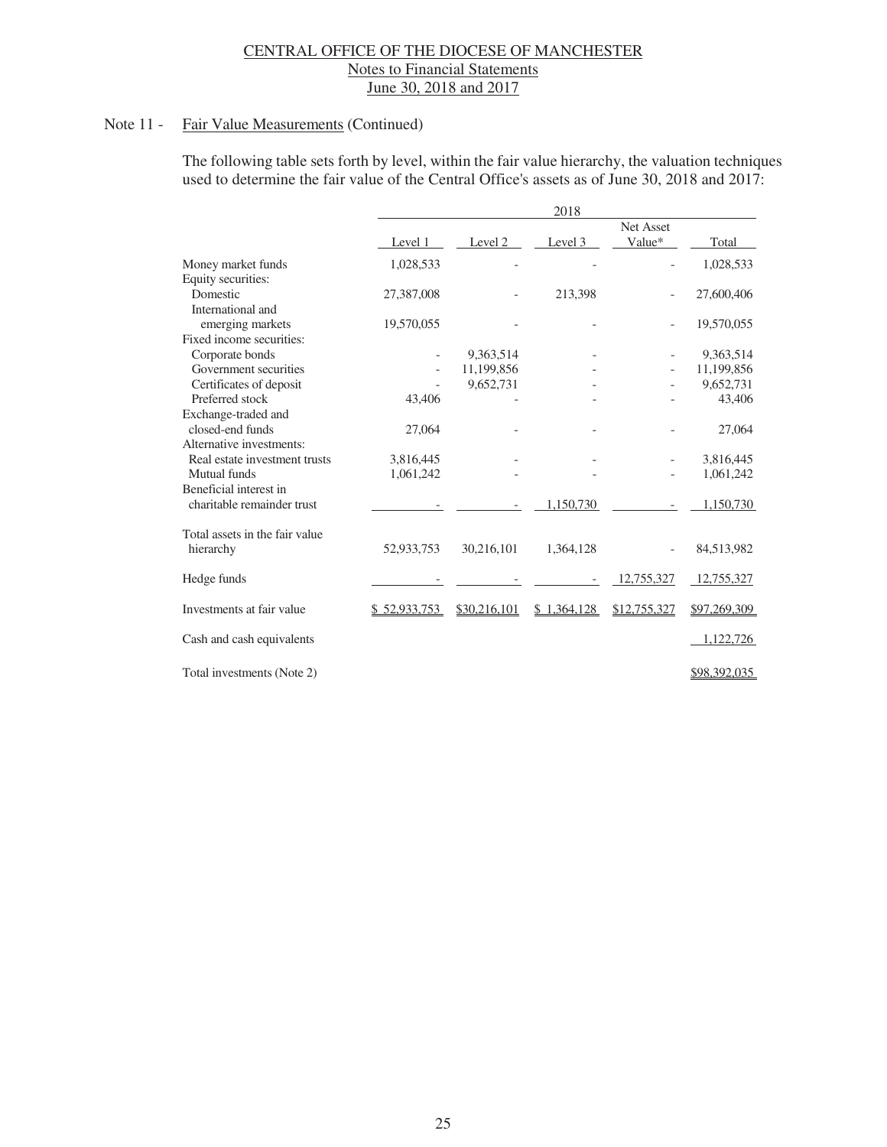#### Note 11 - Fair Value Measurements (Continued)

The following table sets forth by level, within the fair value hierarchy, the valuation techniques used to determine the fair value of the Central Office's assets as of June 30, 2018 and 2017:

|              |                        | 2018        |                     |              |
|--------------|------------------------|-------------|---------------------|--------------|
| Level 1      | Level 2                | Level 3     | Net Asset<br>Value* | Total        |
| 1,028,533    |                        |             |                     | 1,028,533    |
| 27,387,008   |                        | 213,398     |                     | 27,600,406   |
| 19,570,055   |                        |             |                     | 19,570,055   |
|              | 9,363,514              |             |                     | 9,363,514    |
|              | 11,199,856             |             |                     | 11,199,856   |
|              | 9,652,731              |             |                     | 9,652,731    |
| 43,406       |                        |             |                     | 43,406       |
|              |                        |             |                     |              |
| 27,064       |                        |             |                     | 27,064       |
|              |                        |             |                     |              |
|              |                        |             |                     | 3,816,445    |
|              |                        |             |                     | 1,061,242    |
|              |                        |             |                     |              |
|              |                        | 1,150,730   |                     | 1,150,730    |
|              |                        |             |                     |              |
| 52,933,753   | 30,216,101             | 1,364,128   |                     | 84,513,982   |
|              |                        |             | 12,755,327          | 12,755,327   |
| \$52,933,753 | \$30,216,101           | \$1,364,128 | \$12,755,327        | \$97,269,309 |
|              |                        |             |                     | 1,122,726    |
|              |                        |             |                     | \$98,392,035 |
|              | 3,816,445<br>1,061,242 |             |                     |              |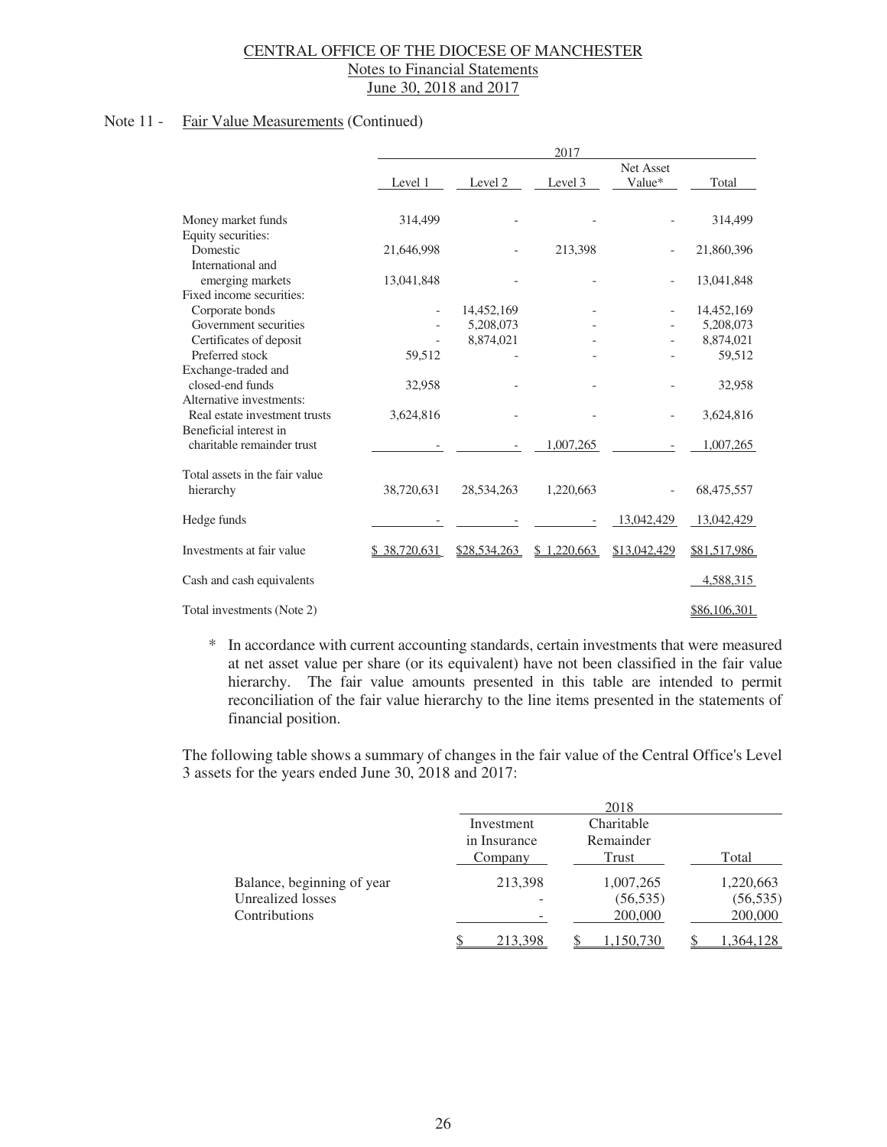#### Note 11 - Fair Value Measurements (Continued)

|                                |              |              | 2017        |                            |              |
|--------------------------------|--------------|--------------|-------------|----------------------------|--------------|
|                                | Level 1      | Level 2      | Level 3     | <b>Net Asset</b><br>Value* | Total        |
|                                |              |              |             |                            |              |
| Money market funds             | 314,499      |              |             |                            | 314,499      |
| Equity securities:             |              |              |             |                            |              |
| Domestic                       | 21,646,998   |              | 213,398     |                            | 21,860,396   |
| International and              |              |              |             |                            |              |
| emerging markets               | 13,041,848   |              |             |                            | 13,041,848   |
| Fixed income securities:       |              |              |             |                            |              |
| Corporate bonds                |              | 14,452,169   |             |                            | 14,452,169   |
| Government securities          |              | 5,208,073    |             |                            | 5,208,073    |
| Certificates of deposit        |              | 8,874,021    |             |                            | 8,874,021    |
| Preferred stock                | 59,512       |              |             |                            | 59,512       |
| Exchange-traded and            |              |              |             |                            |              |
| closed-end funds               | 32,958       |              |             |                            | 32,958       |
| Alternative investments:       |              |              |             |                            |              |
| Real estate investment trusts  | 3,624,816    |              |             |                            | 3,624,816    |
| Beneficial interest in         |              |              |             |                            |              |
| charitable remainder trust     |              |              | 1,007,265   |                            | 1,007,265    |
| Total assets in the fair value |              |              |             |                            |              |
| hierarchy                      | 38,720,631   | 28,534,263   | 1,220,663   |                            | 68,475,557   |
| Hedge funds                    |              |              |             | 13,042,429                 | 13,042,429   |
|                                |              |              |             |                            |              |
| Investments at fair value      | \$38,720,631 | \$28,534,263 | \$1,220,663 | \$13,042,429               | \$81,517,986 |
| Cash and cash equivalents      |              |              |             |                            | 4,588,315    |
|                                |              |              |             |                            |              |
| Total investments (Note 2)     |              |              |             |                            | \$86,106,301 |

\* In accordance with current accounting standards, certain investments that were measured at net asset value per share (or its equivalent) have not been classified in the fair value hierarchy. The fair value amounts presented in this table are intended to permit reconciliation of the fair value hierarchy to the line items presented in the statements of financial position.

The following table shows a summary of changes in the fair value of the Central Office's Level 3 assets for the years ended June 30, 2018 and 2017:

|                            |              | 2018       |           |
|----------------------------|--------------|------------|-----------|
|                            | Investment   | Charitable |           |
|                            | in Insurance | Remainder  |           |
|                            | Company      | Trust      | Total     |
| Balance, beginning of year | 213,398      | 1,007,265  | 1,220,663 |
| Unrealized losses          |              | (56, 535)  | (56, 535) |
| Contributions              |              | 200,000    | 200,000   |
|                            | 213,398      | 1,150,730  | 1,364,128 |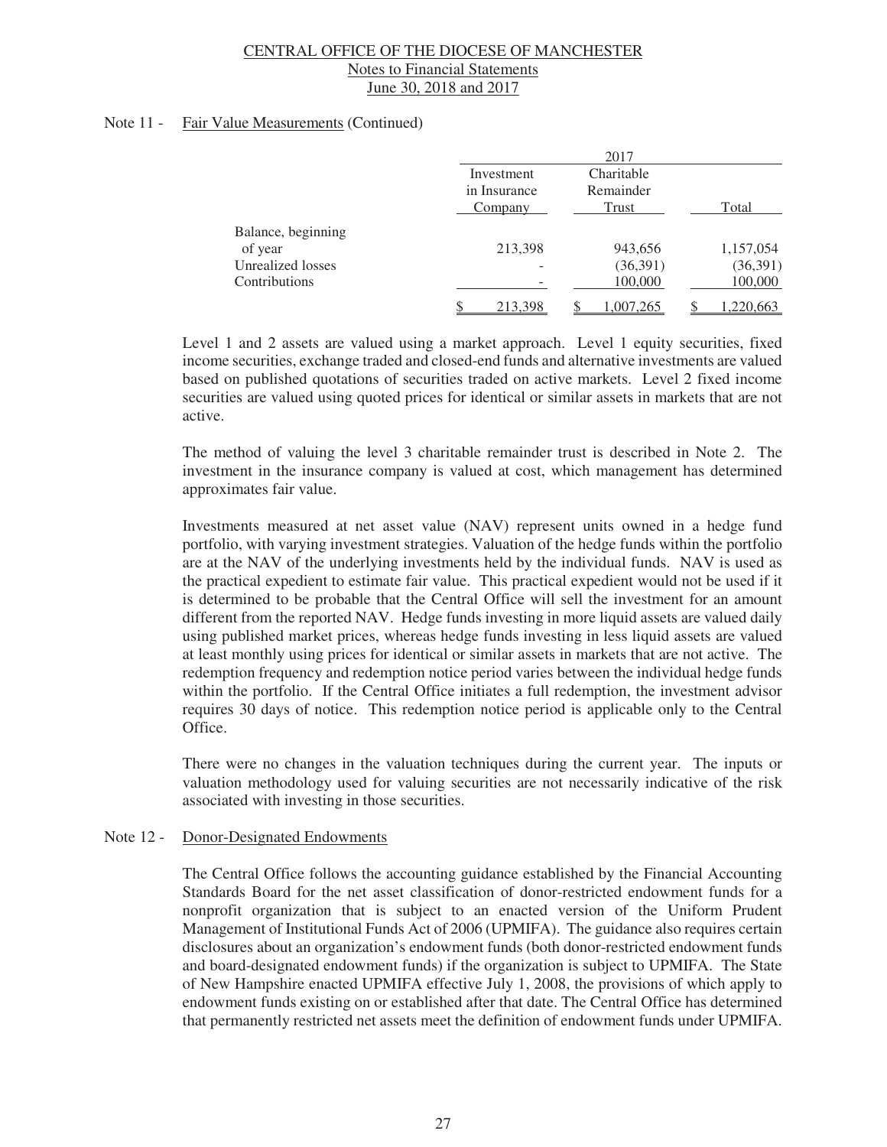#### Note 11 - Fair Value Measurements (Continued)

|                    |                            | 2017                    |           |
|--------------------|----------------------------|-------------------------|-----------|
|                    | Investment<br>in Insurance | Charitable<br>Remainder |           |
|                    | Company                    | Trust                   | Total     |
| Balance, beginning |                            |                         |           |
| of year            | 213,398                    | 943,656                 | 1,157,054 |
| Unrealized losses  |                            | (36,391)                | (36,391)  |
| Contributions      |                            | 100,000                 | 100,000   |
|                    | 213,398                    | 1,007,265               | 1,220,663 |

Level 1 and 2 assets are valued using a market approach. Level 1 equity securities, fixed income securities, exchange traded and closed-end funds and alternative investments are valued based on published quotations of securities traded on active markets. Level 2 fixed income securities are valued using quoted prices for identical or similar assets in markets that are not active.

The method of valuing the level 3 charitable remainder trust is described in Note 2. The investment in the insurance company is valued at cost, which management has determined approximates fair value.

Investments measured at net asset value (NAV) represent units owned in a hedge fund portfolio, with varying investment strategies. Valuation of the hedge funds within the portfolio are at the NAV of the underlying investments held by the individual funds. NAV is used as the practical expedient to estimate fair value. This practical expedient would not be used if it is determined to be probable that the Central Office will sell the investment for an amount different from the reported NAV. Hedge funds investing in more liquid assets are valued daily using published market prices, whereas hedge funds investing in less liquid assets are valued at least monthly using prices for identical or similar assets in markets that are not active. The redemption frequency and redemption notice period varies between the individual hedge funds within the portfolio. If the Central Office initiates a full redemption, the investment advisor requires 30 days of notice. This redemption notice period is applicable only to the Central Office.

There were no changes in the valuation techniques during the current year. The inputs or valuation methodology used for valuing securities are not necessarily indicative of the risk associated with investing in those securities.

## Note 12 - Donor-Designated Endowments

The Central Office follows the accounting guidance established by the Financial Accounting Standards Board for the net asset classification of donor-restricted endowment funds for a nonprofit organization that is subject to an enacted version of the Uniform Prudent Management of Institutional Funds Act of 2006 (UPMIFA). The guidance also requires certain disclosures about an organization's endowment funds (both donor-restricted endowment funds and board-designated endowment funds) if the organization is subject to UPMIFA. The State of New Hampshire enacted UPMIFA effective July 1, 2008, the provisions of which apply to endowment funds existing on or established after that date. The Central Office has determined that permanently restricted net assets meet the definition of endowment funds under UPMIFA.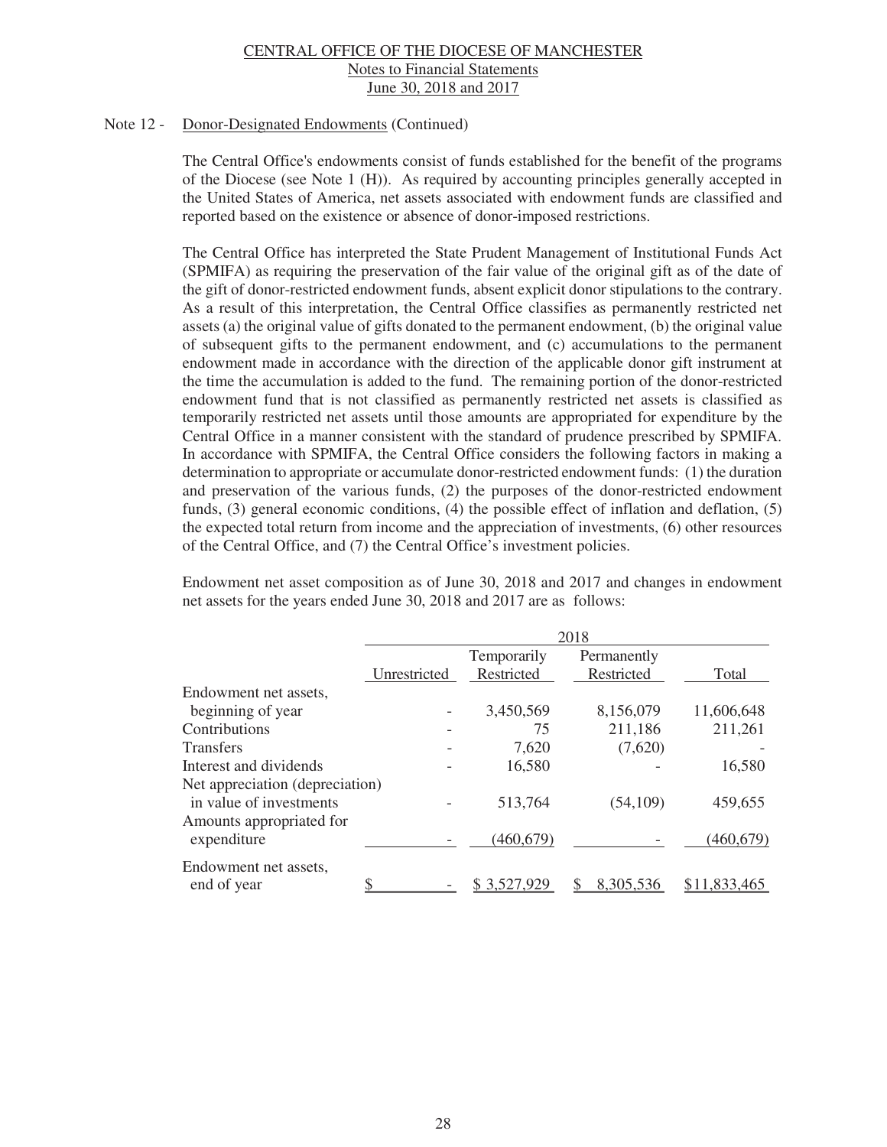#### Note 12 - Donor-Designated Endowments (Continued)

The Central Office's endowments consist of funds established for the benefit of the programs of the Diocese (see Note 1 (H)). As required by accounting principles generally accepted in the United States of America, net assets associated with endowment funds are classified and reported based on the existence or absence of donor-imposed restrictions.

The Central Office has interpreted the State Prudent Management of Institutional Funds Act (SPMIFA) as requiring the preservation of the fair value of the original gift as of the date of the gift of donor-restricted endowment funds, absent explicit donor stipulations to the contrary. As a result of this interpretation, the Central Office classifies as permanently restricted net assets (a) the original value of gifts donated to the permanent endowment, (b) the original value of subsequent gifts to the permanent endowment, and (c) accumulations to the permanent endowment made in accordance with the direction of the applicable donor gift instrument at the time the accumulation is added to the fund. The remaining portion of the donor-restricted endowment fund that is not classified as permanently restricted net assets is classified as temporarily restricted net assets until those amounts are appropriated for expenditure by the Central Office in a manner consistent with the standard of prudence prescribed by SPMIFA. In accordance with SPMIFA, the Central Office considers the following factors in making a determination to appropriate or accumulate donor-restricted endowment funds: (1) the duration and preservation of the various funds, (2) the purposes of the donor-restricted endowment funds, (3) general economic conditions, (4) the possible effect of inflation and deflation, (5) the expected total return from income and the appreciation of investments, (6) other resources of the Central Office, and (7) the Central Office's investment policies.

Endowment net asset composition as of June 30, 2018 and 2017 and changes in endowment net assets for the years ended June 30, 2018 and 2017 are as follows:

|                                 | 2018         |             |             |              |  |  |
|---------------------------------|--------------|-------------|-------------|--------------|--|--|
|                                 |              | Temporarily | Permanently |              |  |  |
|                                 | Unrestricted | Restricted  | Restricted  | Total        |  |  |
| Endowment net assets,           |              |             |             |              |  |  |
| beginning of year               |              | 3,450,569   | 8,156,079   | 11,606,648   |  |  |
| Contributions                   |              | 75          | 211,186     | 211,261      |  |  |
| <b>Transfers</b>                |              | 7,620       | (7,620)     |              |  |  |
| Interest and dividends          |              | 16,580      |             | 16,580       |  |  |
| Net appreciation (depreciation) |              |             |             |              |  |  |
| in value of investments         |              | 513,764     | (54,109)    | 459,655      |  |  |
| Amounts appropriated for        |              |             |             |              |  |  |
| expenditure                     |              | (460, 679)  |             | (460, 679)   |  |  |
| Endowment net assets,           |              |             |             |              |  |  |
| end of year                     |              | \$3,527,929 | 8,305,536   | \$11,833,465 |  |  |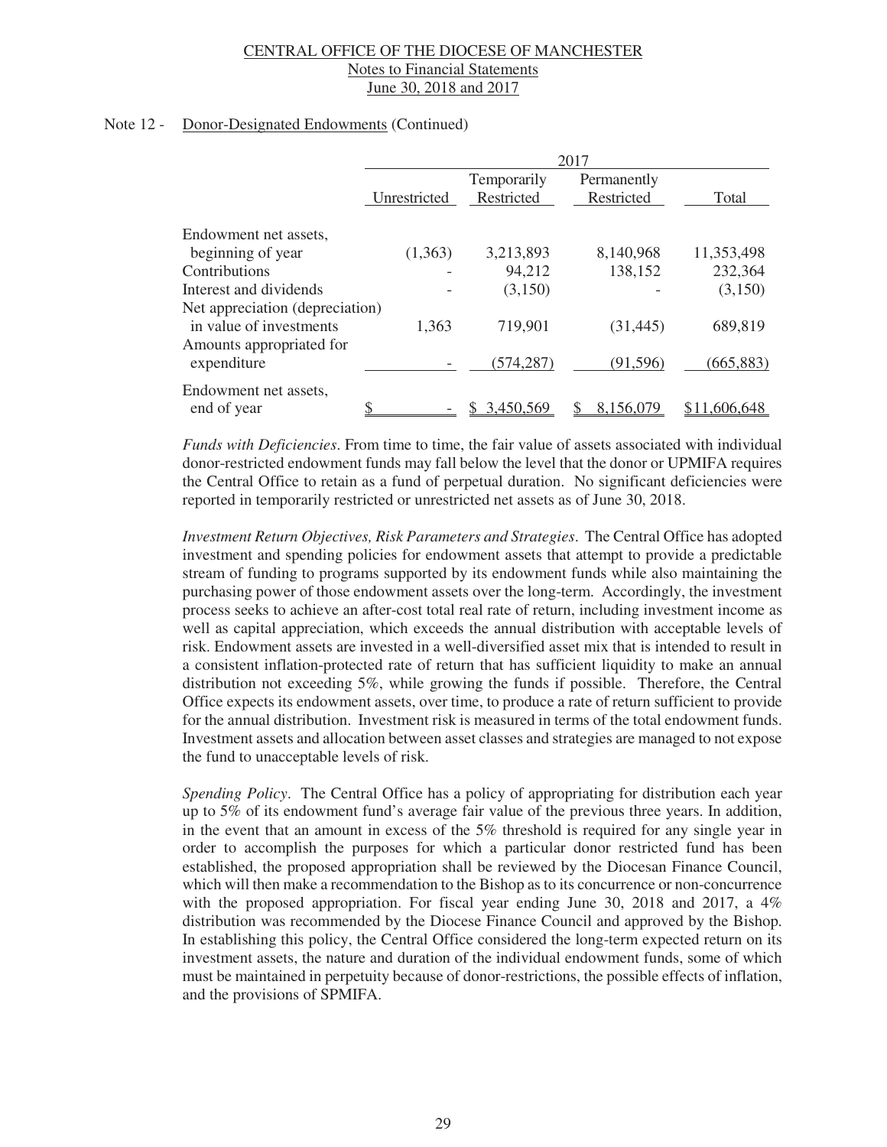#### Note 12 - Donor-Designated Endowments (Continued)

|                                                            | 2017         |                           |                           |              |  |
|------------------------------------------------------------|--------------|---------------------------|---------------------------|--------------|--|
|                                                            | Unrestricted | Temporarily<br>Restricted | Permanently<br>Restricted | Total        |  |
| Endowment net assets,                                      |              |                           |                           |              |  |
| beginning of year                                          | (1,363)      | 3,213,893                 | 8,140,968                 | 11,353,498   |  |
| Contributions                                              |              | 94,212                    | 138,152                   | 232,364      |  |
| Interest and dividends                                     |              | (3,150)                   |                           | (3,150)      |  |
| Net appreciation (depreciation)<br>in value of investments | 1,363        | 719,901                   | (31, 445)                 | 689,819      |  |
| Amounts appropriated for<br>expenditure                    |              | (574, 287)                | (91, 596)                 | (665, 883)   |  |
| Endowment net assets,<br>end of year                       |              | 3,450,569                 | 8,156,079                 | \$11,606,648 |  |

*Funds with Deficiencies*. From time to time, the fair value of assets associated with individual donor-restricted endowment funds may fall below the level that the donor or UPMIFA requires the Central Office to retain as a fund of perpetual duration. No significant deficiencies were reported in temporarily restricted or unrestricted net assets as of June 30, 2018.

*Investment Return Objectives, Risk Parameters and Strategies*. The Central Office has adopted investment and spending policies for endowment assets that attempt to provide a predictable stream of funding to programs supported by its endowment funds while also maintaining the purchasing power of those endowment assets over the long-term. Accordingly, the investment process seeks to achieve an after-cost total real rate of return, including investment income as well as capital appreciation, which exceeds the annual distribution with acceptable levels of risk. Endowment assets are invested in a well-diversified asset mix that is intended to result in a consistent inflation-protected rate of return that has sufficient liquidity to make an annual distribution not exceeding 5%, while growing the funds if possible. Therefore, the Central Office expects its endowment assets, over time, to produce a rate of return sufficient to provide for the annual distribution. Investment risk is measured in terms of the total endowment funds. Investment assets and allocation between asset classes and strategies are managed to not expose the fund to unacceptable levels of risk.

*Spending Policy*. The Central Office has a policy of appropriating for distribution each year up to 5% of its endowment fund's average fair value of the previous three years. In addition, in the event that an amount in excess of the 5% threshold is required for any single year in order to accomplish the purposes for which a particular donor restricted fund has been established, the proposed appropriation shall be reviewed by the Diocesan Finance Council, which will then make a recommendation to the Bishop as to its concurrence or non-concurrence with the proposed appropriation. For fiscal year ending June 30, 2018 and 2017, a 4% distribution was recommended by the Diocese Finance Council and approved by the Bishop. In establishing this policy, the Central Office considered the long-term expected return on its investment assets, the nature and duration of the individual endowment funds, some of which must be maintained in perpetuity because of donor-restrictions, the possible effects of inflation, and the provisions of SPMIFA.